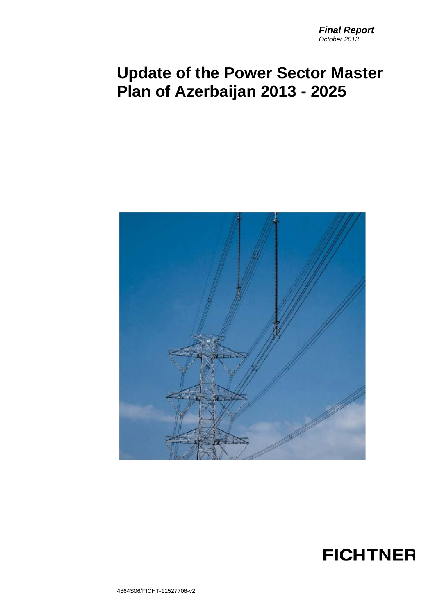# **Update of the Power Sector Master Plan of Azerbaijan 2013 - 2025**



## **FICHTNER**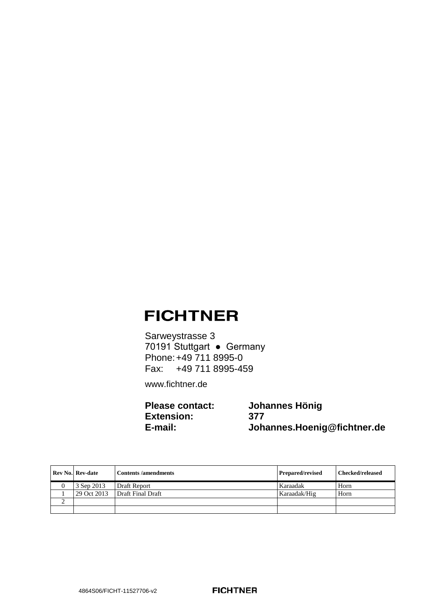## **FICHTNER**

Sarweystrasse 3 70191 Stuttgart ● Germany Phone:+49 711 8995-0 Fax: +49 711 8995-459

[www.fichtner.de](http://www.fichtner.de/)

**Please contact: Johannes Hönig** Extension:<br>**E-mail**: **E-mail: Johannes.Hoenig@fichtner.de**

| <b>Rev No. Rev-date</b> | <b>Contents/amendments</b> | <b>Prepared/revised</b> | Checked/released |
|-------------------------|----------------------------|-------------------------|------------------|
| 3 Sep 2013              | Draft Report               | Karaadak                | Horn             |
| 29 Oct 2013             | Draft Final Draft          | Karaadak/Hig            | Horn             |
|                         |                            |                         |                  |
|                         |                            |                         |                  |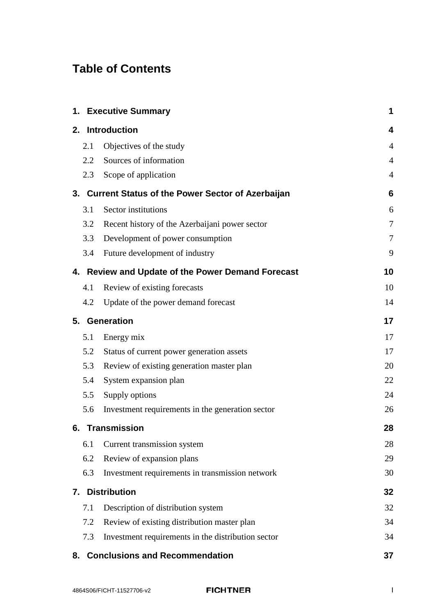## **Table of Contents**

|     | 1. Executive Summary                                | 1              |
|-----|-----------------------------------------------------|----------------|
|     | 2. Introduction                                     | 4              |
| 2.1 | Objectives of the study                             | 4              |
| 2.2 | Sources of information                              | $\overline{4}$ |
| 2.3 | Scope of application                                | $\overline{4}$ |
|     | 3. Current Status of the Power Sector of Azerbaijan | 6              |
| 3.1 | Sector institutions                                 | 6              |
| 3.2 | Recent history of the Azerbaijani power sector      | 7              |
| 3.3 | Development of power consumption                    | $\overline{7}$ |
| 3.4 | Future development of industry                      | 9              |
|     | 4. Review and Update of the Power Demand Forecast   | 10             |
| 4.1 | Review of existing forecasts                        | 10             |
| 4.2 | Update of the power demand forecast                 | 14             |
|     | 5. Generation                                       | 17             |
| 5.1 | Energy mix                                          | 17             |
| 5.2 | Status of current power generation assets           | 17             |
| 5.3 | Review of existing generation master plan           | 20             |
| 5.4 | System expansion plan                               | 22             |
| 5.5 | Supply options                                      | 24             |
| 5.6 | Investment requirements in the generation sector    | 26             |
|     | 6. Transmission                                     | 28             |
| 6.1 | Current transmission system                         | 28             |
| 6.2 | Review of expansion plans                           | 29             |
| 6.3 | Investment requirements in transmission network     | 30             |
| 7.  | <b>Distribution</b>                                 | 32             |
| 7.1 | Description of distribution system                  | 32             |
| 7.2 | Review of existing distribution master plan         | 34             |
| 7.3 | Investment requirements in the distribution sector  | 34             |
|     | 8. Conclusions and Recommendation                   | 37             |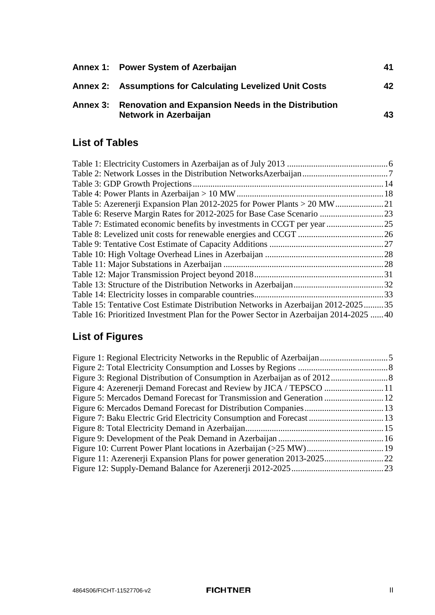| Annex 1: Power System of Azerbaijan                                                  | 41 |
|--------------------------------------------------------------------------------------|----|
| Annex 2: Assumptions for Calculating Levelized Unit Costs                            | 42 |
| Annex 3: Renovation and Expansion Needs in the Distribution<br>Network in Azerbaijan | 43 |

## **List of Tables**

|                                                                                       | 18 |
|---------------------------------------------------------------------------------------|----|
|                                                                                       |    |
|                                                                                       |    |
|                                                                                       |    |
|                                                                                       |    |
|                                                                                       |    |
|                                                                                       |    |
|                                                                                       |    |
|                                                                                       |    |
|                                                                                       |    |
|                                                                                       |    |
| Table 15: Tentative Cost Estimate Distribution Networks in Azerbaijan 2012-202535     |    |
| Table 16: Prioritized Investment Plan for the Power Sector in Azerbaijan 2014-2025 40 |    |

## **List of Figures**

| Figure 7: Baku Electric Grid Electricity Consumption and Forecast  13 |
|-----------------------------------------------------------------------|
|                                                                       |
|                                                                       |
|                                                                       |
|                                                                       |
|                                                                       |
|                                                                       |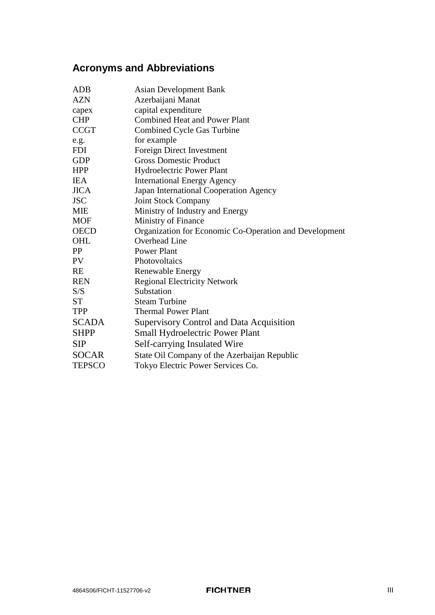## **Acronyms and Abbreviations**

| ADB           | <b>Asian Development Bank</b>                          |
|---------------|--------------------------------------------------------|
| <b>AZN</b>    | Azerbaijani Manat                                      |
| capex         | capital expenditure                                    |
| <b>CHP</b>    | <b>Combined Heat and Power Plant</b>                   |
| <b>CCGT</b>   | <b>Combined Cycle Gas Turbine</b>                      |
| e.g.          | for example                                            |
| <b>FDI</b>    | Foreign Direct Investment                              |
| <b>GDP</b>    | <b>Gross Domestic Product</b>                          |
| <b>HPP</b>    | Hydroelectric Power Plant                              |
| <b>IEA</b>    | <b>International Energy Agency</b>                     |
| <b>JICA</b>   | Japan International Cooperation Agency                 |
| <b>JSC</b>    | <b>Joint Stock Company</b>                             |
| <b>MIE</b>    | Ministry of Industry and Energy                        |
| <b>MOF</b>    | Ministry of Finance                                    |
| <b>OECD</b>   | Organization for Economic Co-Operation and Development |
| OHL           | Overhead Line                                          |
| PP            | <b>Power Plant</b>                                     |
| <b>PV</b>     | Photovoltaics                                          |
| <b>RE</b>     | Renewable Energy                                       |
| <b>REN</b>    | <b>Regional Electricity Network</b>                    |
| S/S           | Substation                                             |
| <b>ST</b>     | <b>Steam Turbine</b>                                   |
| <b>TPP</b>    | <b>Thermal Power Plant</b>                             |
| <b>SCADA</b>  | <b>Supervisory Control and Data Acquisition</b>        |
| <b>SHPP</b>   | <b>Small Hydroelectric Power Plant</b>                 |
| <b>SIP</b>    | Self-carrying Insulated Wire                           |
| <b>SOCAR</b>  | State Oil Company of the Azerbaijan Republic           |
| <b>TEPSCO</b> | Tokyo Electric Power Services Co.                      |
|               |                                                        |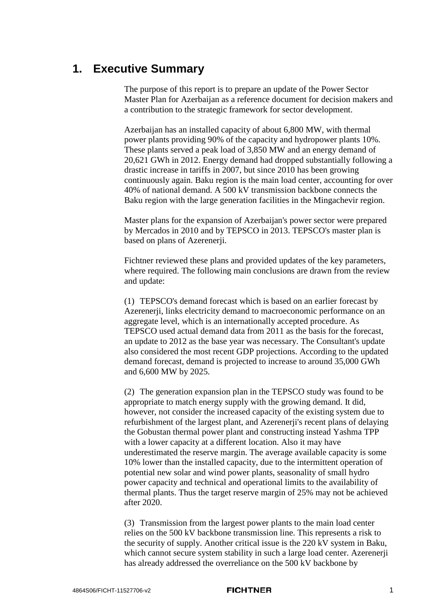### <span id="page-5-0"></span>**1. Executive Summary**

The purpose of this report is to prepare an update of the Power Sector Master Plan for Azerbaijan as a reference document for decision makers and a contribution to the strategic framework for sector development.

Azerbaijan has an installed capacity of about 6,800 MW, with thermal power plants providing 90% of the capacity and hydropower plants 10%. These plants served a peak load of 3,850 MW and an energy demand of 20,621 GWh in 2012. Energy demand had dropped substantially following a drastic increase in tariffs in 2007, but since 2010 has been growing continuously again. Baku region is the main load center, accounting for over 40% of national demand. A 500 kV transmission backbone connects the Baku region with the large generation facilities in the Mingachevir region.

Master plans for the expansion of Azerbaijan's power sector were prepared by Mercados in 2010 and by TEPSCO in 2013. TEPSCO's master plan is based on plans of Azerenerji.

Fichtner reviewed these plans and provided updates of the key parameters, where required. The following main conclusions are drawn from the review and update:

(1) TEPSCO's demand forecast which is based on an earlier forecast by Azerenerji, links electricity demand to macroeconomic performance on an aggregate level, which is an internationally accepted procedure. As TEPSCO used actual demand data from 2011 as the basis for the forecast, an update to 2012 as the base year was necessary. The Consultant's update also considered the most recent GDP projections. According to the updated demand forecast, demand is projected to increase to around 35,000 GWh and 6,600 MW by 2025.

(2) The generation expansion plan in the TEPSCO study was found to be appropriate to match energy supply with the growing demand. It did, however, not consider the increased capacity of the existing system due to refurbishment of the largest plant, and Azerenerji's recent plans of delaying the Gobustan thermal power plant and constructing instead Yashma TPP with a lower capacity at a different location. Also it may have underestimated the reserve margin. The average available capacity is some 10% lower than the installed capacity, due to the intermittent operation of potential new solar and wind power plants, seasonality of small hydro power capacity and technical and operational limits to the availability of thermal plants. Thus the target reserve margin of 25% may not be achieved after 2020.

(3) Transmission from the largest power plants to the main load center relies on the 500 kV backbone transmission line. This represents a risk to the security of supply. Another critical issue is the 220 kV system in Baku, which cannot secure system stability in such a large load center. Azerenerji has already addressed the overreliance on the 500 kV backbone by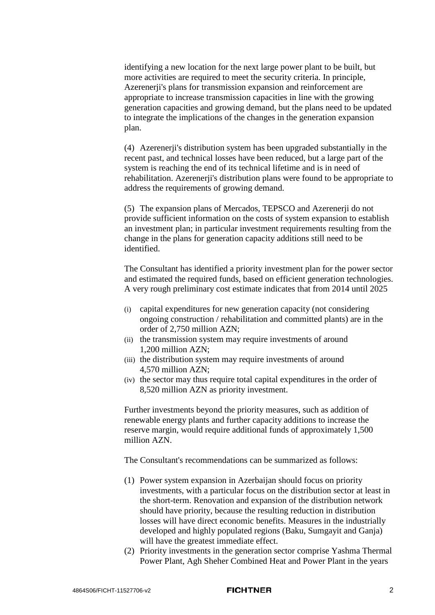identifying a new location for the next large power plant to be built, but more activities are required to meet the security criteria. In principle, Azerenerji's plans for transmission expansion and reinforcement are appropriate to increase transmission capacities in line with the growing generation capacities and growing demand, but the plans need to be updated to integrate the implications of the changes in the generation expansion plan.

(4) Azerenerji's distribution system has been upgraded substantially in the recent past, and technical losses have been reduced, but a large part of the system is reaching the end of its technical lifetime and is in need of rehabilitation. Azerenerji's distribution plans were found to be appropriate to address the requirements of growing demand.

(5) The expansion plans of Mercados, TEPSCO and Azerenerji do not provide sufficient information on the costs of system expansion to establish an investment plan; in particular investment requirements resulting from the change in the plans for generation capacity additions still need to be identified.

The Consultant has identified a priority investment plan for the power sector and estimated the required funds, based on efficient generation technologies. A very rough preliminary cost estimate indicates that from 2014 until 2025

- (i) capital expenditures for new generation capacity (not considering ongoing construction / rehabilitation and committed plants) are in the order of 2,750 million AZN;
- (ii) the transmission system may require investments of around 1,200 million AZN;
- (iii) the distribution system may require investments of around 4,570 million AZN;
- (iv) the sector may thus require total capital expenditures in the order of 8,520 million AZN as priority investment.

Further investments beyond the priority measures, such as addition of renewable energy plants and further capacity additions to increase the reserve margin, would require additional funds of approximately 1,500 million AZN.

The Consultant's recommendations can be summarized as follows:

- (1) Power system expansion in Azerbaijan should focus on priority investments, with a particular focus on the distribution sector at least in the short-term. Renovation and expansion of the distribution network should have priority, because the resulting reduction in distribution losses will have direct economic benefits. Measures in the industrially developed and highly populated regions (Baku, Sumgayit and Ganja) will have the greatest immediate effect.
- (2) Priority investments in the generation sector comprise Yashma Thermal Power Plant, Agh Sheher Combined Heat and Power Plant in the years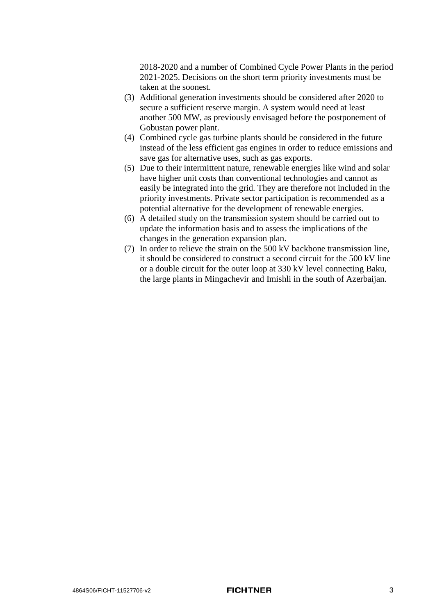2018-2020 and a number of Combined Cycle Power Plants in the period 2021-2025. Decisions on the short term priority investments must be taken at the soonest.

- (3) Additional generation investments should be considered after 2020 to secure a sufficient reserve margin. A system would need at least another 500 MW, as previously envisaged before the postponement of Gobustan power plant.
- (4) Combined cycle gas turbine plants should be considered in the future instead of the less efficient gas engines in order to reduce emissions and save gas for alternative uses, such as gas exports.
- (5) Due to their intermittent nature, renewable energies like wind and solar have higher unit costs than conventional technologies and cannot as easily be integrated into the grid. They are therefore not included in the priority investments. Private sector participation is recommended as a potential alternative for the development of renewable energies.
- (6) A detailed study on the transmission system should be carried out to update the information basis and to assess the implications of the changes in the generation expansion plan.
- (7) In order to relieve the strain on the  $500 \text{ kV}$  backbone transmission line. it should be considered to construct a second circuit for the 500 kV line or a double circuit for the outer loop at 330 kV level connecting Baku, the large plants in Mingachevir and Imishli in the south of Azerbaijan.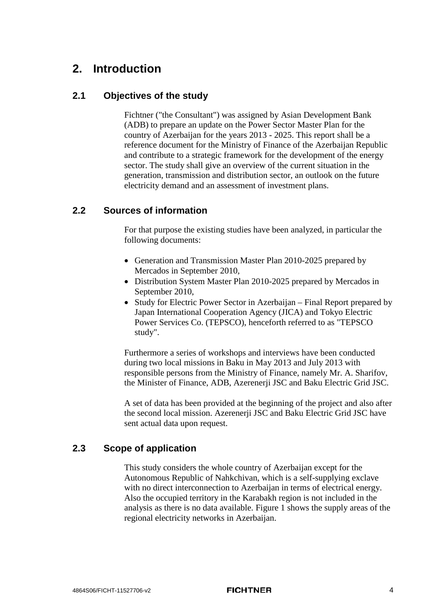### **2. Introduction**

### **2.1 Objectives of the study**

Fichtner ("the Consultant") was assigned by Asian Development Bank (ADB) to prepare an update on the Power Sector Master Plan for the country of Azerbaijan for the years 2013 - 2025. This report shall be a reference document for the Ministry of Finance of the Azerbaijan Republic and contribute to a strategic framework for the development of the energy sector. The study shall give an overview of the current situation in the generation, transmission and distribution sector, an outlook on the future electricity demand and an assessment of investment plans.

### **2.2 Sources of information**

For that purpose the existing studies have been analyzed, in particular the following documents:

- Generation and Transmission Master Plan 2010-2025 prepared by Mercados in September 2010,
- Distribution System Master Plan 2010-2025 prepared by Mercados in September 2010,
- Study for Electric Power Sector in Azerbaijan Final Report prepared by Japan International Cooperation Agency (JICA) and Tokyo Electric Power Services Co. (TEPSCO), henceforth referred to as "TEPSCO study".

Furthermore a series of workshops and interviews have been conducted during two local missions in Baku in May 2013 and July 2013 with responsible persons from the Ministry of Finance, namely Mr. A. Sharifov, the Minister of Finance, ADB, Azerenerji JSC and Baku Electric Grid JSC.

A set of data has been provided at the beginning of the project and also after the second local mission. Azerenerji JSC and Baku Electric Grid JSC have sent actual data upon request.

### **2.3 Scope of application**

This study considers the whole country of Azerbaijan except for the Autonomous Republic of Nahkchivan, which is a self-supplying exclave with no direct interconnection to Azerbaijan in terms of electrical energy. Also the occupied territory in the Karabakh region is not included in the analysis as there is no data available. [Figure 1](#page-9-0) shows the supply areas of the regional electricity networks in Azerbaijan.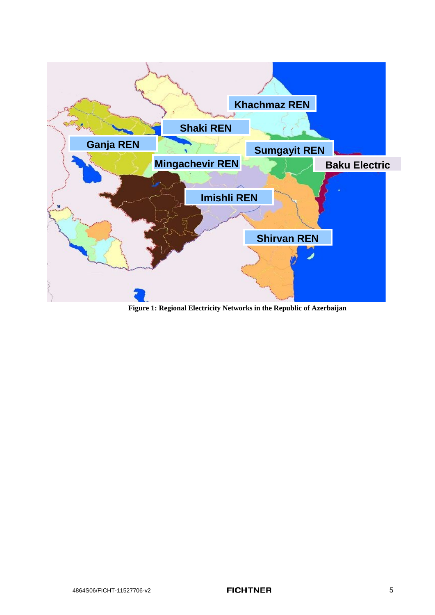<span id="page-9-0"></span>

**Figure 1: Regional Electricity Networks in the Republic of Azerbaijan**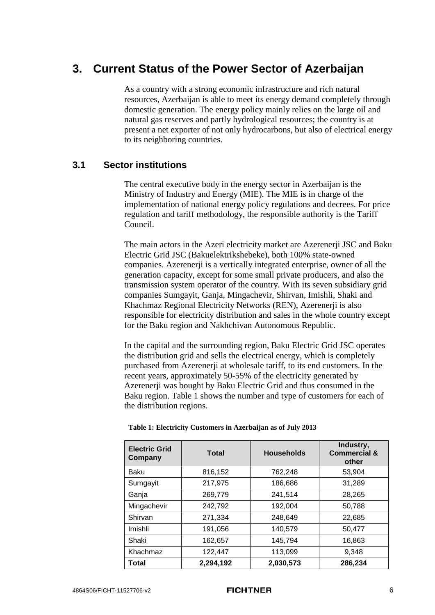## <span id="page-10-1"></span>**3. Current Status of the Power Sector of Azerbaijan**

As a country with a strong economic infrastructure and rich natural resources, Azerbaijan is able to meet its energy demand completely through domestic generation. The energy policy mainly relies on the large oil and natural gas reserves and partly hydrological resources; the country is at present a net exporter of not only hydrocarbons, but also of electrical energy to its neighboring countries.

### **3.1 Sector institutions**

The central executive body in the energy sector in Azerbaijan is the Ministry of Industry and Energy (MIE). The MIE is in charge of the implementation of national energy policy regulations and decrees. For price regulation and tariff methodology, the responsible authority is the Tariff Council.

The main actors in the Azeri electricity market are Azerenerji JSC and Baku Electric Grid JSC (Bakuelektrikshebeke), both 100% state-owned companies. Azerenerji is a vertically integrated enterprise, owner of all the generation capacity, except for some small private producers, and also the transmission system operator of the country. With its seven subsidiary grid companies Sumgayit, Ganja, Mingachevir, Shirvan, Imishli, Shaki and Khachmaz Regional Electricity Networks (REN), Azerenerji is also responsible for electricity distribution and sales in the whole country except for the Baku region and Nakhchivan Autonomous Republic.

In the capital and the surrounding region, Baku Electric Grid JSC operates the distribution grid and sells the electrical energy, which is completely purchased from Azerenerji at wholesale tariff, to its end customers. In the recent years, approximately 50-55% of the electricity generated by Azerenerji was bought by Baku Electric Grid and thus consumed in the Baku region. [Table 1](#page-10-0) shows the number and type of customers for each of the distribution regions.

| <b>Electric Grid</b><br>Company | <b>Households</b><br><b>Total</b> |           | Industry,<br><b>Commercial &amp;</b><br>other |
|---------------------------------|-----------------------------------|-----------|-----------------------------------------------|
| Baku                            | 816,152                           | 762,248   | 53,904                                        |
| Sumgayit                        | 217,975                           | 186,686   | 31,289                                        |
| Ganja                           | 269,779                           | 241,514   | 28,265                                        |
| Mingachevir                     | 242,792                           | 192,004   | 50,788                                        |
| Shirvan                         | 271,334                           | 248,649   | 22,685                                        |
| Imishli                         | 191,056                           | 140,579   | 50,477                                        |
| Shaki                           | 162,657                           | 145,794   | 16,863                                        |
| Khachmaz                        | 122,447                           | 113,099   | 9,348                                         |
| Total                           | 2,294,192                         | 2,030,573 | 286,234                                       |

#### <span id="page-10-0"></span>**Table 1: Electricity Customers in Azerbaijan as of July 2013**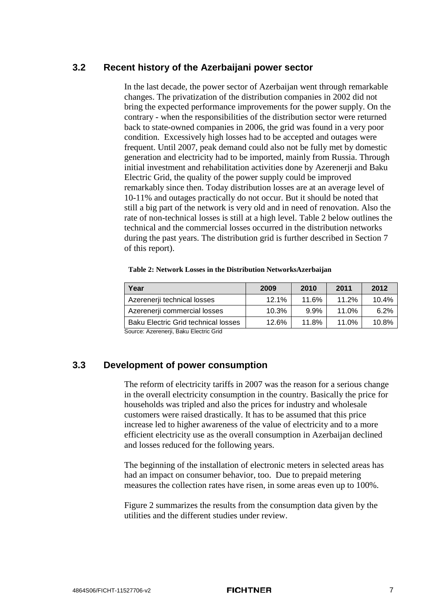### **3.2 Recent history of the Azerbaijani power sector**

In the last decade, the power sector of Azerbaijan went through remarkable changes. The privatization of the distribution companies in 2002 did not bring the expected performance improvements for the power supply. On the contrary - when the responsibilities of the distribution sector were returned back to state-owned companies in 2006, the grid was found in a very poor condition. Excessively high losses had to be accepted and outages were frequent. Until 2007, peak demand could also not be fully met by domestic generation and electricity had to be imported, mainly from Russia. Through initial investment and rehabilitation activities done by Azerenerji and Baku Electric Grid, the quality of the power supply could be improved remarkably since then. Today distribution losses are at an average level of 10-11% and outages practically do not occur. But it should be noted that still a big part of the network is very old and in need of renovation. Also the rate of non-technical losses is still at a high level. [Table 2](#page-11-0) below outlines the technical and the commercial losses occurred in the distribution networks during the past years. The distribution grid is further described in Section [7](#page-36-0) of this report).

<span id="page-11-0"></span>

|  |  | Table 2: Network Losses in the Distribution NetworksAzerbaijan |
|--|--|----------------------------------------------------------------|
|--|--|----------------------------------------------------------------|

| 2009     | 2010  | 2011  | 2012  |
|----------|-------|-------|-------|
| $12.1\%$ | 11.6% | 11.2% | 10.4% |
| 10.3%    | 9.9%  | 11.0% | 6.2%  |
| 12.6%    | 11.8% | 11.0% | 10.8% |
|          |       |       |       |

<span id="page-11-1"></span>Source: Azerenerji, Baku Electric Grid

### **3.3 Development of power consumption**

The reform of electricity tariffs in 2007 was the reason for a serious change in the overall electricity consumption in the country. Basically the price for households was tripled and also the prices for industry and wholesale customers were raised drastically. It has to be assumed that this price increase led to higher awareness of the value of electricity and to a more efficient electricity use as the overall consumption in Azerbaijan declined and losses reduced for the following years.

The beginning of the installation of electronic meters in selected areas has had an impact on consumer behavior, too. Due to prepaid metering measures the collection rates have risen, in some areas even up to 100%.

[Figure 2](#page-12-0) summarizes the results from the consumption data given by the utilities and the different studies under review.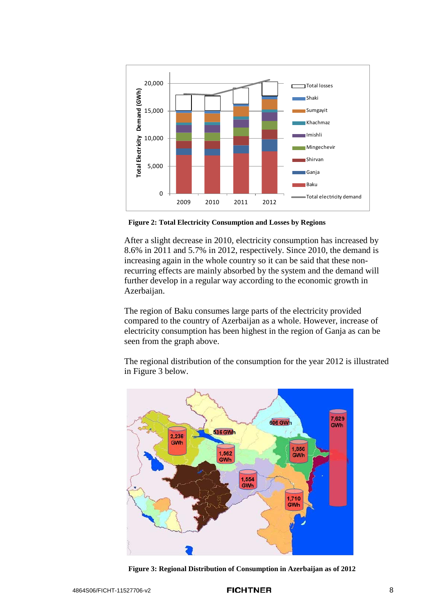

<span id="page-12-0"></span>**Figure 2: Total Electricity Consumption and Losses by Regions**

After a slight decrease in 2010, electricity consumption has increased by 8.6% in 2011 and 5.7% in 2012, respectively. Since 2010, the demand is increasing again in the whole country so it can be said that these nonrecurring effects are mainly absorbed by the system and the demand will further develop in a regular way according to the economic growth in Azerbaijan.

The region of Baku consumes large parts of the electricity provided compared to the country of Azerbaijan as a whole. However, increase of electricity consumption has been highest in the region of Ganja as can be seen from the graph above.

The regional distribution of the consumption for the year 2012 is illustrated in [Figure 3](#page-12-1) below.



<span id="page-12-1"></span>**Figure 3: Regional Distribution of Consumption in Azerbaijan as of 2012**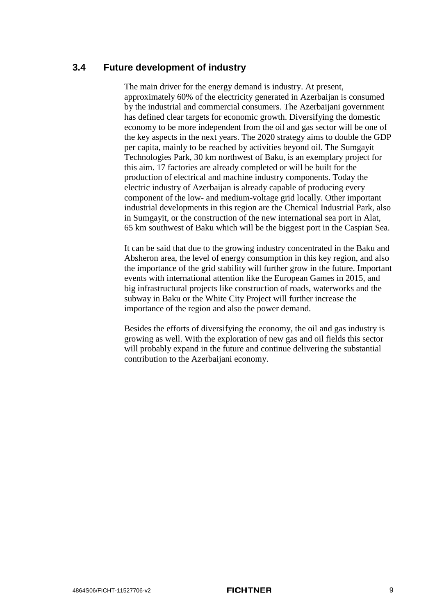### **3.4 Future development of industry**

The main driver for the energy demand is industry. At present, approximately 60% of the electricity generated in Azerbaijan is consumed by the industrial and commercial consumers. The Azerbaijani government has defined clear targets for economic growth. Diversifying the domestic economy to be more independent from the oil and gas sector will be one of the key aspects in the next years. The 2020 strategy aims to double the GDP per capita, mainly to be reached by activities beyond oil. The Sumgayit Technologies Park, 30 km northwest of Baku, is an exemplary project for this aim. 17 factories are already completed or will be built for the production of electrical and machine industry components. Today the electric industry of Azerbaijan is already capable of producing every component of the low- and medium-voltage grid locally. Other important industrial developments in this region are the Chemical Industrial Park, also in Sumgayit, or the construction of the new international sea port in Alat, 65 km southwest of Baku which will be the biggest port in the Caspian Sea.

It can be said that due to the growing industry concentrated in the Baku and Absheron area, the level of energy consumption in this key region, and also the importance of the grid stability will further grow in the future. Important events with international attention like the European Games in 2015, and big infrastructural projects like construction of roads, waterworks and the subway in Baku or the White City Project will further increase the importance of the region and also the power demand.

Besides the efforts of diversifying the economy, the oil and gas industry is growing as well. With the exploration of new gas and oil fields this sector will probably expand in the future and continue delivering the substantial contribution to the Azerbaijani economy.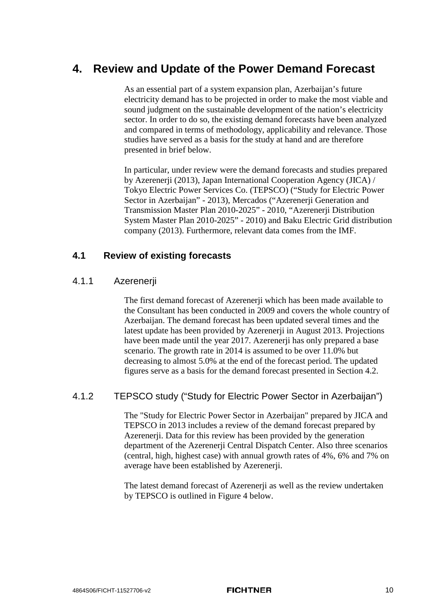## **4. Review and Update of the Power Demand Forecast**

As an essential part of a system expansion plan, Azerbaijan's future electricity demand has to be projected in order to make the most viable and sound judgment on the sustainable development of the nation's electricity sector. In order to do so, the existing demand forecasts have been analyzed and compared in terms of methodology, applicability and relevance. Those studies have served as a basis for the study at hand and are therefore presented in brief below.

In particular, under review were the demand forecasts and studies prepared by Azerenerji (2013), Japan International Cooperation Agency (JICA) / Tokyo Electric Power Services Co. (TEPSCO) ("Study for Electric Power Sector in Azerbaijan" - 2013), Mercados ("Azerenerji Generation and Transmission Master Plan 2010-2025" - 2010, "Azerenerji Distribution System Master Plan 2010-2025" - 2010) and Baku Electric Grid distribution company (2013). Furthermore, relevant data comes from the IMF.

### **4.1 Review of existing forecasts**

### 4.1.1 Azerenerji

The first demand forecast of Azerenerji which has been made available to the Consultant has been conducted in 2009 and covers the whole country of Azerbaijan. The demand forecast has been updated several times and the latest update has been provided by Azerenerji in August 2013. Projections have been made until the year 2017. Azerenerji has only prepared a base scenario. The growth rate in 2014 is assumed to be over 11.0% but decreasing to almost 5.0% at the end of the forecast period. The updated figures serve as a basis for the demand forecast presented in Section [4.2.](#page-18-0)

### 4.1.2 TEPSCO study ("Study for Electric Power Sector in Azerbaijan")

The "Study for Electric Power Sector in Azerbaijan" prepared by JICA and TEPSCO in 2013 includes a review of the demand forecast prepared by Azerenerji. Data for this review has been provided by the generation department of the Azerenerji Central Dispatch Center. Also three scenarios (central, high, highest case) with annual growth rates of 4%, 6% and 7% on average have been established by Azerenerji.

The latest demand forecast of Azerenerii as well as the review undertaken by TEPSCO is outlined in [Figure 4](#page-15-0) below.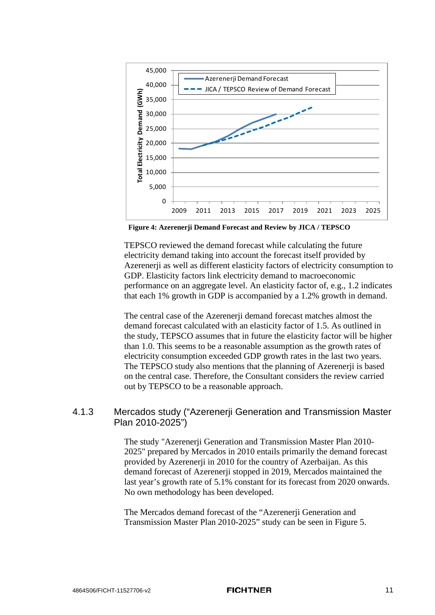

<span id="page-15-0"></span>**Figure 4: Azerenerji Demand Forecast and Review by JICA / TEPSCO**

TEPSCO reviewed the demand forecast while calculating the future electricity demand taking into account the forecast itself provided by Azerenerji as well as different elasticity factors of electricity consumption to GDP. Elasticity factors link electricity demand to macroeconomic performance on an aggregate level. An elasticity factor of, e.g., 1.2 indicates that each 1% growth in GDP is accompanied by a 1.2% growth in demand.

The central case of the Azerenerji demand forecast matches almost the demand forecast calculated with an elasticity factor of 1.5. As outlined in the study, TEPSCO assumes that in future the elasticity factor will be higher than 1.0. This seems to be a reasonable assumption as the growth rates of electricity consumption exceeded GDP growth rates in the last two years. The TEPSCO study also mentions that the planning of Azerenerji is based on the central case. Therefore, the Consultant considers the review carried out by TEPSCO to be a reasonable approach.

### 4.1.3 Mercados study ("Azerenerji Generation and Transmission Master Plan 2010-2025")

The study "Azerenerji Generation and Transmission Master Plan 2010- 2025" prepared by Mercados in 2010 entails primarily the demand forecast provided by Azerenerji in 2010 for the country of Azerbaijan. As this demand forecast of Azerenerji stopped in 2019, Mercados maintained the last year's growth rate of 5.1% constant for its forecast from 2020 onwards. No own methodology has been developed.

The Mercados demand forecast of the "Azerenerji Generation and Transmission Master Plan 2010-2025" study can be seen in [Figure 5.](#page-16-0)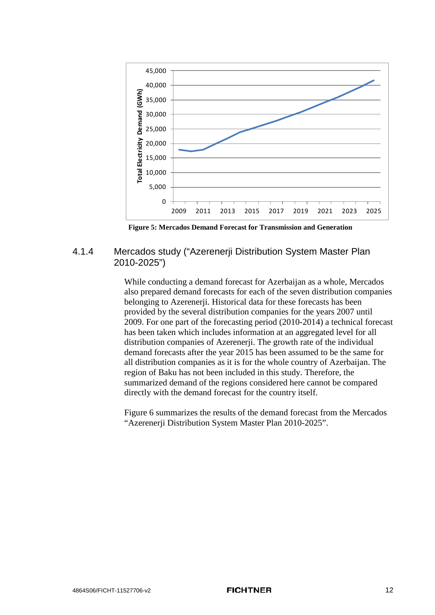

<span id="page-16-0"></span>**Figure 5: Mercados Demand Forecast for Transmission and Generation**

### 4.1.4 Mercados study ("Azerenerji Distribution System Master Plan 2010-2025")

While conducting a demand forecast for Azerbaijan as a whole, Mercados also prepared demand forecasts for each of the seven distribution companies belonging to Azerenerji. Historical data for these forecasts has been provided by the several distribution companies for the years 2007 until 2009. For one part of the forecasting period (2010-2014) a technical forecast has been taken which includes information at an aggregated level for all distribution companies of Azerenerji. The growth rate of the individual demand forecasts after the year 2015 has been assumed to be the same for all distribution companies as it is for the whole country of Azerbaijan. The region of Baku has not been included in this study. Therefore, the summarized demand of the regions considered here cannot be compared directly with the demand forecast for the country itself.

[Figure 6](#page-17-0) summarizes the results of the demand forecast from the Mercados "Azerenerji Distribution System Master Plan 2010-2025".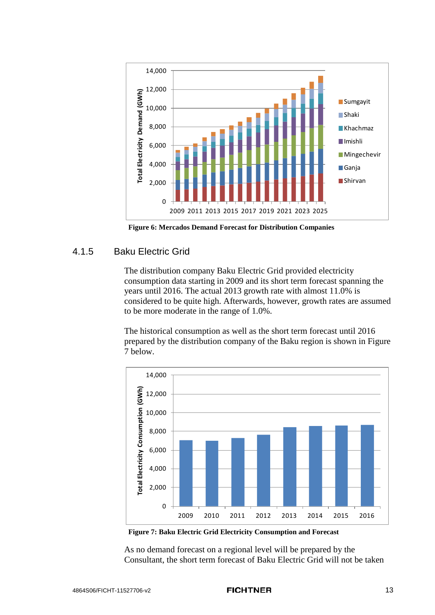

<span id="page-17-0"></span>**Figure 6: Mercados Demand Forecast for Distribution Companies**

### 4.1.5 Baku Electric Grid

The distribution company Baku Electric Grid provided electricity consumption data starting in 2009 and its short term forecast spanning the years until 2016. The actual 2013 growth rate with almost 11.0% is considered to be quite high. Afterwards, however, growth rates are assumed to be more moderate in the range of 1.0%.

The historical consumption as well as the short term forecast until 2016 prepared by the distribution company of the Baku region is shown in [Figure](#page-17-1)  [7](#page-17-1) below.



<span id="page-17-1"></span>**Figure 7: Baku Electric Grid Electricity Consumption and Forecast**

As no demand forecast on a regional level will be prepared by the Consultant, the short term forecast of Baku Electric Grid will not be taken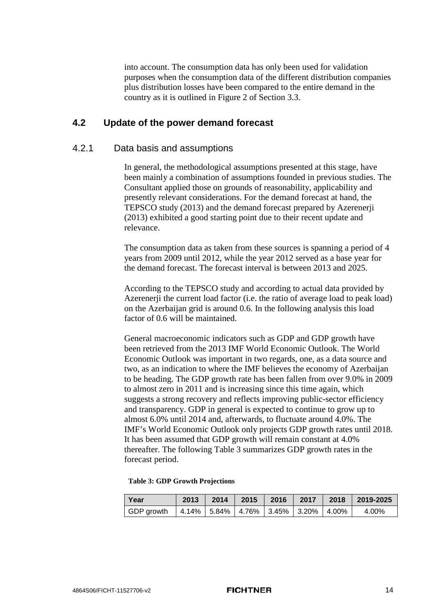into account. The consumption data has only been used for validation purposes when the consumption data of the different distribution companies plus distribution losses have been compared to the entire demand in the country as it is outlined in [Figure 2](#page-12-0) of Section [3.3.](#page-11-1)

### <span id="page-18-0"></span>**4.2 Update of the power demand forecast**

### 4.2.1 Data basis and assumptions

In general, the methodological assumptions presented at this stage, have been mainly a combination of assumptions founded in previous studies. The Consultant applied those on grounds of reasonability, applicability and presently relevant considerations. For the demand forecast at hand, the TEPSCO study (2013) and the demand forecast prepared by Azerenerji (2013) exhibited a good starting point due to their recent update and relevance.

The consumption data as taken from these sources is spanning a period of 4 years from 2009 until 2012, while the year 2012 served as a base year for the demand forecast. The forecast interval is between 2013 and 2025.

According to the TEPSCO study and according to actual data provided by Azerenerji the current load factor (i.e. the ratio of average load to peak load) on the Azerbaijan grid is around 0.6. In the following analysis this load factor of 0.6 will be maintained.

General macroeconomic indicators such as GDP and GDP growth have been retrieved from the 2013 IMF World Economic Outlook. The World Economic Outlook was important in two regards, one, as a data source and two, as an indication to where the IMF believes the economy of Azerbaijan to be heading. The GDP growth rate has been fallen from over 9.0% in 2009 to almost zero in 2011 and is increasing since this time again, which suggests a strong recovery and reflects improving public-sector efficiency and transparency. GDP in general is expected to continue to grow up to almost 6.0% until 2014 and, afterwards, to fluctuate around 4.0%. The IMF's World Economic Outlook only projects GDP growth rates until 2018. It has been assumed that GDP growth will remain constant at 4.0% thereafter. The following [Table 3](#page-18-1) summarizes GDP growth rates in the forecast period.

#### <span id="page-18-1"></span>**Table 3: GDP Growth Projections**

| Year                                                       | 2013 |  |  | │ 2014 │ 2015 │ 2016 │ 2017 │ 2018 │ 2019-2025 |
|------------------------------------------------------------|------|--|--|------------------------------------------------|
| GDP growth   4.14%   5.84%   4.76%   3.45%   3.20%   4.00% |      |  |  | $4.00\%$                                       |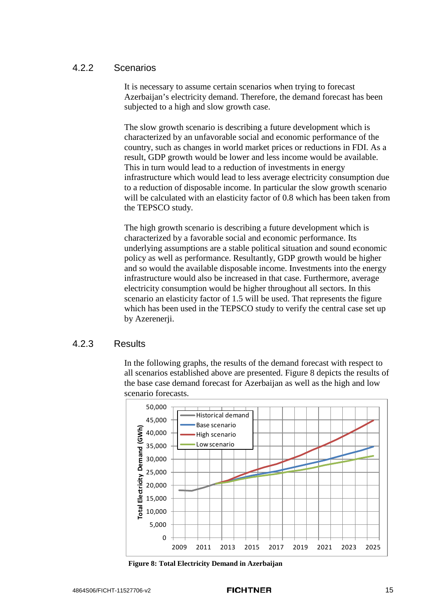### 4.2.2 Scenarios

It is necessary to assume certain scenarios when trying to forecast Azerbaijan's electricity demand. Therefore, the demand forecast has been subjected to a high and slow growth case.

The slow growth scenario is describing a future development which is characterized by an unfavorable social and economic performance of the country, such as changes in world market prices or reductions in FDI. As a result, GDP growth would be lower and less income would be available. This in turn would lead to a reduction of investments in energy infrastructure which would lead to less average electricity consumption due to a reduction of disposable income. In particular the slow growth scenario will be calculated with an elasticity factor of 0.8 which has been taken from the TEPSCO study.

The high growth scenario is describing a future development which is characterized by a favorable social and economic performance. Its underlying assumptions are a stable political situation and sound economic policy as well as performance. Resultantly, GDP growth would be higher and so would the available disposable income. Investments into the energy infrastructure would also be increased in that case. Furthermore, average electricity consumption would be higher throughout all sectors. In this scenario an elasticity factor of 1.5 will be used. That represents the figure which has been used in the TEPSCO study to verify the central case set up by Azerenerji.

### 4.2.3 Results

In the following graphs, the results of the demand forecast with respect to all scenarios established above are presented. [Figure 8](#page-19-0) depicts the results of the base case demand forecast for Azerbaijan as well as the high and low scenario forecasts.



<span id="page-19-0"></span>**Figure 8: Total Electricity Demand in Azerbaijan**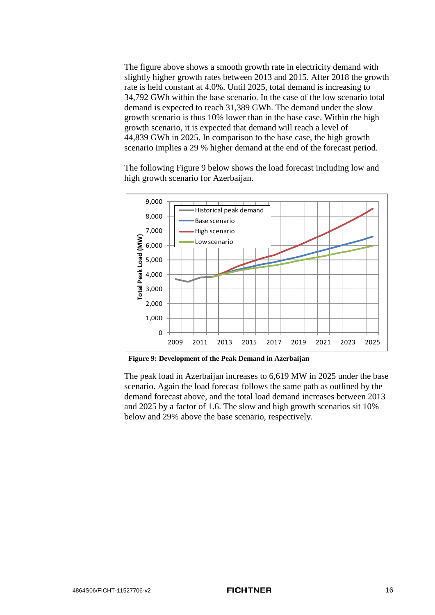The figure above shows a smooth growth rate in electricity demand with slightly higher growth rates between 2013 and 2015. After 2018 the growth rate is held constant at 4.0%. Until 2025, total demand is increasing to 34,792 GWh within the base scenario. In the case of the low scenario total demand is expected to reach 31,389 GWh. The demand under the slow growth scenario is thus 10% lower than in the base case. Within the high growth scenario, it is expected that demand will reach a level of 44,839 GWh in 2025. In comparison to the base case, the high growth scenario implies a 29 % higher demand at the end of the forecast period.

The following [Figure 9](#page-20-0) below shows the load forecast including low and high growth scenario for Azerbaijan.



<span id="page-20-0"></span>**Figure 9: Development of the Peak Demand in Azerbaijan**

The peak load in Azerbaijan increases to 6,619 MW in 2025 under the base scenario. Again the load forecast follows the same path as outlined by the demand forecast above, and the total load demand increases between 2013 and 2025 by a factor of 1.6. The slow and high growth scenarios sit 10% below and 29% above the base scenario, respectively.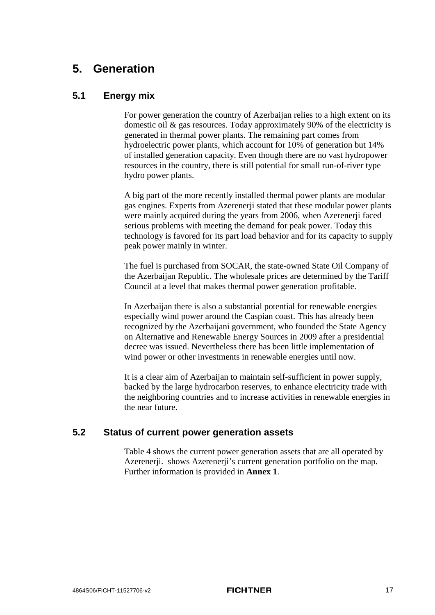### **5. Generation**

### <span id="page-21-0"></span>**5.1 Energy mix**

For power generation the country of Azerbaijan relies to a high extent on its domestic oil & gas resources. Today approximately 90% of the electricity is generated in thermal power plants. The remaining part comes from hydroelectric power plants, which account for 10% of generation but 14% of installed generation capacity. Even though there are no vast hydropower resources in the country, there is still potential for small run-of-river type hydro power plants.

A big part of the more recently installed thermal power plants are modular gas engines. Experts from Azerenerji stated that these modular power plants were mainly acquired during the years from 2006, when Azerenerji faced serious problems with meeting the demand for peak power. Today this technology is favored for its part load behavior and for its capacity to supply peak power mainly in winter.

The fuel is purchased from SOCAR, the state-owned State Oil Company of the Azerbaijan Republic. The wholesale prices are determined by the Tariff Council at a level that makes thermal power generation profitable.

In Azerbaijan there is also a substantial potential for renewable energies especially wind power around the Caspian coast. This has already been recognized by the Azerbaijani government, who founded the State Agency on Alternative and Renewable Energy Sources in 2009 after a presidential decree was issued. Nevertheless there has been little implementation of wind power or other investments in renewable energies until now.

It is a clear aim of Azerbaijan to maintain self-sufficient in power supply, backed by the large hydrocarbon reserves, to enhance electricity trade with the neighboring countries and to increase activities in renewable energies in the near future.

### **5.2 Status of current power generation assets**

[Table 4](#page-22-0) shows the current power generation assets that are all operated by Azerenerji. shows Azerenerji's current generation portfolio on the map. Further information is provided in **Annex [1](#page-5-0)**.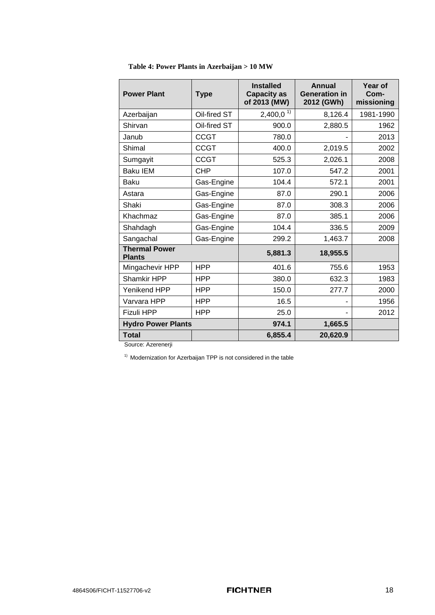| <b>Power Plant</b>                    | <b>Type</b>  | <b>Installed</b><br><b>Capacity as</b><br>of 2013 (MW) | <b>Annual</b><br><b>Generation in</b><br>2012 (GWh) | Year of<br>Com-<br>missioning |
|---------------------------------------|--------------|--------------------------------------------------------|-----------------------------------------------------|-------------------------------|
| Azerbaijan                            | Oil-fired ST | $2,400,0^{1}$                                          | 8,126.4                                             | 1981-1990                     |
| Shirvan                               | Oil-fired ST | 900.0                                                  | 2,880.5                                             | 1962                          |
| Janub                                 | <b>CCGT</b>  | 780.0                                                  |                                                     | 2013                          |
| Shimal                                | <b>CCGT</b>  | 400.0                                                  | 2,019.5                                             | 2002                          |
| Sumgayit                              | <b>CCGT</b>  | 525.3                                                  | 2,026.1                                             | 2008                          |
| <b>Baku IEM</b>                       | <b>CHP</b>   | 107.0                                                  | 547.2                                               | 2001                          |
| Baku                                  | Gas-Engine   | 104.4                                                  | 572.1                                               | 2001                          |
| Astara                                | Gas-Engine   | 87.0                                                   | 290.1                                               | 2006                          |
| Shaki                                 | Gas-Engine   | 87.0                                                   | 308.3                                               | 2006                          |
| Khachmaz                              | Gas-Engine   | 87.0                                                   | 385.1                                               | 2006                          |
| Shahdagh                              | Gas-Engine   | 104.4                                                  | 336.5                                               | 2009                          |
| Sangachal                             | Gas-Engine   | 299.2                                                  | 1,463.7                                             | 2008                          |
| <b>Thermal Power</b><br><b>Plants</b> |              | 5,881.3                                                | 18,955.5                                            |                               |
| Mingachevir HPP                       | <b>HPP</b>   | 401.6                                                  | 755.6                                               | 1953                          |
| Shamkir HPP                           | HPP          | 380.0                                                  | 632.3                                               | 1983                          |
| Yenikend HPP                          | <b>HPP</b>   | 150.0                                                  | 277.7                                               | 2000                          |
| Varvara HPP                           | HPP          | 16.5                                                   |                                                     | 1956                          |
| <b>Fizuli HPP</b>                     | <b>HPP</b>   | 25.0                                                   |                                                     | 2012                          |
| <b>Hydro Power Plants</b>             |              | 974.1                                                  | 1,665.5                                             |                               |
| <b>Total</b>                          |              | 6,855.4                                                | 20,620.9                                            |                               |

<span id="page-22-0"></span>

|  |  |  | Table 4: Power Plants in Azerbaijan > 10 MW |  |  |
|--|--|--|---------------------------------------------|--|--|
|--|--|--|---------------------------------------------|--|--|

Source: Azerenerji

 $1)$  Modernization for Azerbaijan TPP is not considered in the table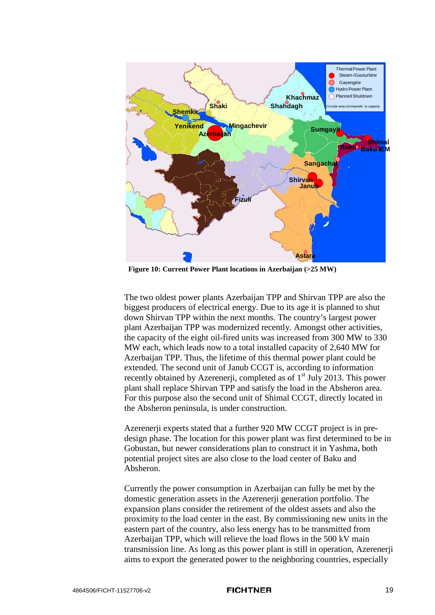

**Figure 10: Current Power Plant locations in Azerbaijan (>25 MW)**

The two oldest power plants Azerbaijan TPP and Shirvan TPP are also the biggest producers of electrical energy. Due to its age it is planned to shut down Shirvan TPP within the next months. The country's largest power plant Azerbaijan TPP was modernized recently. Amongst other activities, the capacity of the eight oil-fired units was increased from 300 MW to 330 MW each, which leads now to a total installed capacity of 2,640 MW for Azerbaijan TPP. Thus, the lifetime of this thermal power plant could be extended. The second unit of Janub CCGT is, according to information recently obtained by Azerenerji, completed as of 1<sup>st</sup> July 2013. This power plant shall replace Shirvan TPP and satisfy the load in the Absheron area. For this purpose also the second unit of Shimal CCGT, directly located in the Absheron peninsula, is under construction.

Azerenerji experts stated that a further 920 MW CCGT project is in predesign phase. The location for this power plant was first determined to be in Gobustan, but newer considerations plan to construct it in Yashma, both potential project sites are also close to the load center of Baku and Absheron.

Currently the power consumption in Azerbaijan can fully be met by the domestic generation assets in the Azerenerji generation portfolio. The expansion plans consider the retirement of the oldest assets and also the proximity to the load center in the east. By commissioning new units in the eastern part of the country, also less energy has to be transmitted from Azerbaijan TPP, which will relieve the load flows in the 500 kV main transmission line. As long as this power plant is still in operation, Azerenerji aims to export the generated power to the neighboring countries, especially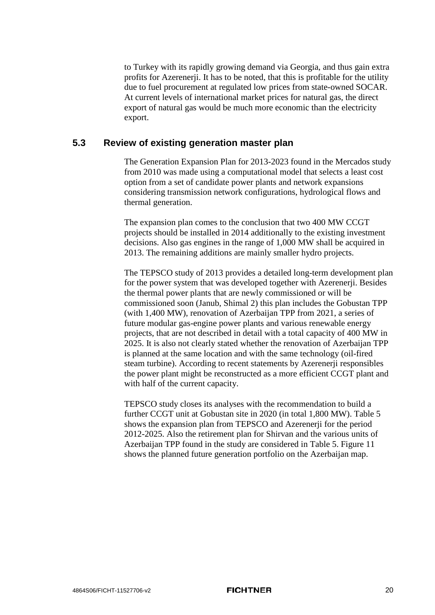to Turkey with its rapidly growing demand via Georgia, and thus gain extra profits for Azerenerji. It has to be noted, that this is profitable for the utility due to fuel procurement at regulated low prices from state-owned SOCAR. At current levels of international market prices for natural gas, the direct export of natural gas would be much more economic than the electricity export.

### <span id="page-24-0"></span>**5.3 Review of existing generation master plan**

The Generation Expansion Plan for 2013-2023 found in the Mercados study from 2010 was made using a computational model that selects a least cost option from a set of candidate power plants and network expansions considering transmission network configurations, hydrological flows and thermal generation.

The expansion plan comes to the conclusion that two 400 MW CCGT projects should be installed in 2014 additionally to the existing investment decisions. Also gas engines in the range of 1,000 MW shall be acquired in 2013. The remaining additions are mainly smaller hydro projects.

The TEPSCO study of 2013 provides a detailed long-term development plan for the power system that was developed together with Azerenerji. Besides the thermal power plants that are newly commissioned or will be commissioned soon (Janub, Shimal 2) this plan includes the Gobustan TPP (with 1,400 MW), renovation of Azerbaijan TPP from 2021, a series of future modular gas-engine power plants and various renewable energy projects, that are not described in detail with a total capacity of 400 MW in 2025. It is also not clearly stated whether the renovation of Azerbaijan TPP is planned at the same location and with the same technology (oil-fired steam turbine). According to recent statements by Azerenerji responsibles the power plant might be reconstructed as a more efficient CCGT plant and with half of the current capacity.

TEPSCO study closes its analyses with the recommendation to build a further CCGT unit at Gobustan site in 2020 (in total 1,800 MW). [Table 5](#page-25-0) shows the expansion plan from TEPSCO and Azerenerji for the period 2012-2025. Also the retirement plan for Shirvan and the various units of Azerbaijan TPP found in the study are considered in [Table 5.](#page-25-0) [Figure 11](#page-26-0) shows the planned future generation portfolio on the Azerbaijan map.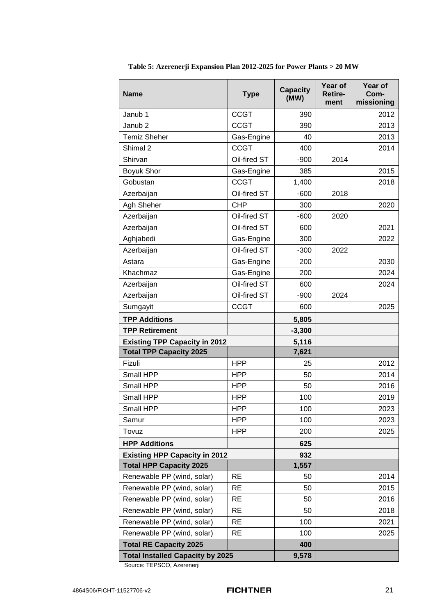| <b>Name</b>                             | <b>Type</b>  | <b>Capacity</b><br>(MW) | Year of<br><b>Retire-</b><br>ment | Year of<br>Com-<br>missioning |
|-----------------------------------------|--------------|-------------------------|-----------------------------------|-------------------------------|
| Janub 1                                 | <b>CCGT</b>  | 390                     |                                   | 2012                          |
| Janub <sub>2</sub>                      | <b>CCGT</b>  | 390                     |                                   | 2013                          |
| <b>Temiz Sheher</b>                     | Gas-Engine   | 40                      |                                   | 2013                          |
| Shimal 2                                | <b>CCGT</b>  | 400                     |                                   | 2014                          |
| Shirvan                                 | Oil-fired ST | $-900$                  | 2014                              |                               |
| <b>Boyuk Shor</b>                       | Gas-Engine   | 385                     |                                   | 2015                          |
| Gobustan                                | <b>CCGT</b>  | 1,400                   |                                   | 2018                          |
| Azerbaijan                              | Oil-fired ST | $-600$                  | 2018                              |                               |
| Agh Sheher                              | <b>CHP</b>   | 300                     |                                   | 2020                          |
| Azerbaijan                              | Oil-fired ST | $-600$                  | 2020                              |                               |
| Azerbaijan                              | Oil-fired ST | 600                     |                                   | 2021                          |
| Aghjabedi                               | Gas-Engine   | 300                     |                                   | 2022                          |
| Azerbaijan                              | Oil-fired ST | $-300$                  | 2022                              |                               |
| Astara                                  | Gas-Engine   | 200                     |                                   | 2030                          |
| Khachmaz                                | Gas-Engine   | 200                     |                                   | 2024                          |
| Azerbaijan                              | Oil-fired ST | 600                     |                                   | 2024                          |
| Azerbaijan                              | Oil-fired ST | $-900$                  | 2024                              |                               |
| Sumgayit                                | <b>CCGT</b>  | 600                     |                                   | 2025                          |
| <b>TPP Additions</b>                    |              | 5,805                   |                                   |                               |
| <b>TPP Retirement</b>                   |              | $-3,300$                |                                   |                               |
| <b>Existing TPP Capacity in 2012</b>    |              | 5,116                   |                                   |                               |
| <b>Total TPP Capacity 2025</b>          |              | 7,621                   |                                   |                               |
| Fizuli                                  | <b>HPP</b>   | 25                      |                                   | 2012                          |
| Small HPP                               | <b>HPP</b>   | 50                      |                                   | 2014                          |
| Small HPP                               | <b>HPP</b>   | 50                      |                                   | 2016                          |
| Small HPP                               | <b>HPP</b>   | 100                     |                                   | 2019                          |
| Small HPP                               | HPP          | 100                     |                                   | 2023                          |
| Samur                                   | <b>HPP</b>   | 100                     |                                   | 2023                          |
| Tovuz                                   | <b>HPP</b>   | 200                     |                                   | 2025                          |
| <b>HPP Additions</b>                    |              | 625                     |                                   |                               |
| <b>Existing HPP Capacity in 2012</b>    |              | 932                     |                                   |                               |
| <b>Total HPP Capacity 2025</b>          |              | 1,557                   |                                   |                               |
| Renewable PP (wind, solar)              | <b>RE</b>    | 50                      |                                   | 2014                          |
| Renewable PP (wind, solar)              | <b>RE</b>    | 50                      |                                   | 2015                          |
| Renewable PP (wind, solar)              | <b>RE</b>    | 50                      |                                   | 2016                          |
| Renewable PP (wind, solar)              | <b>RE</b>    | 50                      |                                   | 2018                          |
| Renewable PP (wind, solar)              | <b>RE</b>    | 100                     |                                   | 2021                          |
| Renewable PP (wind, solar)              | <b>RE</b>    | 100                     |                                   | 2025                          |
| <b>Total RE Capacity 2025</b>           |              | 400                     |                                   |                               |
| <b>Total Installed Capacity by 2025</b> |              | 9,578                   |                                   |                               |

<span id="page-25-0"></span>**Table 5: Azerenerji Expansion Plan 2012-2025 for Power Plants > 20 MW**

Source: TEPSCO, Azerenerji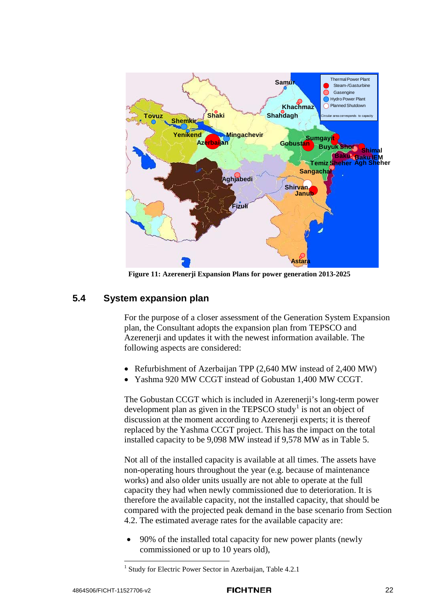

**Figure 11: Azerenerji Expansion Plans for power generation 2013-2025**

### <span id="page-26-2"></span>**5.4 System expansion plan**

<span id="page-26-0"></span>For the purpose of a closer assessment of the Generation System Expansion plan, the Consultant adopts the expansion plan from TEPSCO and Azerenerji and updates it with the newest information available. The following aspects are considered:

- Refurbishment of Azerbaijan TPP (2,640 MW instead of 2,400 MW)
- Yashma 920 MW CCGT instead of Gobustan 1,400 MW CCGT.

The Gobustan CCGT which is included in Azerenerji's long-term power development plan as given in the TEPSCO study<sup>[1](#page-26-1)</sup> is not an object of discussion at the moment according to Azerenerji experts; it is thereof replaced by the Yashma CCGT project. This has the impact on the total installed capacity to be 9,098 MW instead if 9,578 MW as in [Table 5.](#page-25-0)

Not all of the installed capacity is available at all times. The assets have non-operating hours throughout the year (e.g. because of maintenance works) and also older units usually are not able to operate at the full capacity they had when newly commissioned due to deterioration. It is therefore the available capacity, not the installed capacity, that should be compared with the projected peak demand in the base scenario from Section [4.2.](#page-18-0) The estimated average rates for the available capacity are:

• 90% of the installed total capacity for new power plants (newly commissioned or up to 10 years old),

<span id="page-26-1"></span><sup>&</sup>lt;sup>1</sup> Study for Electric Power Sector in Azerbaijan, Table 4.2.1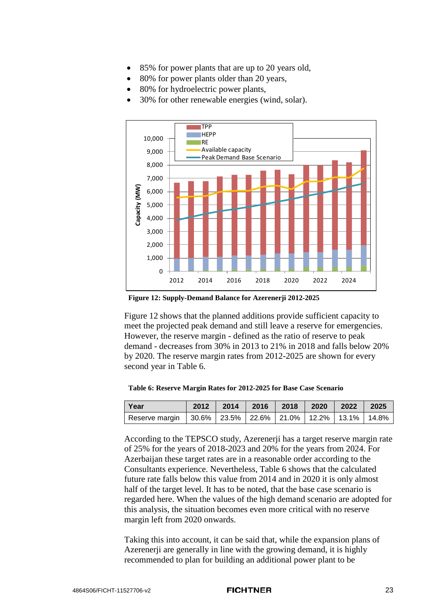- 85% for power plants that are up to 20 years old,
- 80% for power plants older than 20 years,
- 80% for hydroelectric power plants,
- 30% for other renewable energies (wind, solar).



<span id="page-27-0"></span>**Figure 12: Supply-Demand Balance for Azerenerji 2012-2025**

[Figure 12](#page-27-0) shows that the planned additions provide sufficient capacity to meet the projected peak demand and still leave a reserve for emergencies. However, the reserve margin - defined as the ratio of reserve to peak demand - decreases from 30% in 2013 to 21% in 2018 and falls below 20% by 2020. The reserve margin rates from 2012-2025 are shown for every second year in [Table 6.](#page-27-1)

<span id="page-27-1"></span>

| Year                                                                   | 2012 | 2014 2016 | 2018 2020 | 2022 | 2025 |
|------------------------------------------------------------------------|------|-----------|-----------|------|------|
| Reserve margin   30.6%   23.5%   22.6%   21.0%   12.2%   13.1%   14.8% |      |           |           |      |      |

According to the TEPSCO study, Azerenerji has a target reserve margin rate of 25% for the years of 2018-2023 and 20% for the years from 2024. For Azerbaijan these target rates are in a reasonable order according to the Consultants experience. Nevertheless, [Table 6](#page-27-1) shows that the calculated future rate falls below this value from 2014 and in 2020 it is only almost half of the target level. It has to be noted, that the base case scenario is regarded here. When the values of the high demand scenario are adopted for this analysis, the situation becomes even more critical with no reserve margin left from 2020 onwards.

Taking this into account, it can be said that, while the expansion plans of Azerenerji are generally in line with the growing demand, it is highly recommended to plan for building an additional power plant to be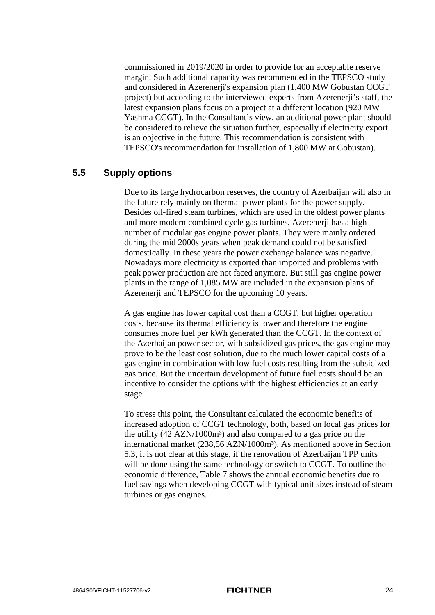commissioned in 2019/2020 in order to provide for an acceptable reserve margin. Such additional capacity was recommended in the TEPSCO study and considered in Azerenerji's expansion plan (1,400 MW Gobustan CCGT project) but according to the interviewed experts from Azerenerji's staff, the latest expansion plans focus on a project at a different location (920 MW Yashma CCGT). In the Consultant's view, an additional power plant should be considered to relieve the situation further, especially if electricity export is an objective in the future. This recommendation is consistent with TEPSCO's recommendation for installation of 1,800 MW at Gobustan).

### **5.5 Supply options**

Due to its large hydrocarbon reserves, the country of Azerbaijan will also in the future rely mainly on thermal power plants for the power supply. Besides oil-fired steam turbines, which are used in the oldest power plants and more modern combined cycle gas turbines, Azerenerji has a high number of modular gas engine power plants. They were mainly ordered during the mid 2000s years when peak demand could not be satisfied domestically. In these years the power exchange balance was negative. Nowadays more electricity is exported than imported and problems with peak power production are not faced anymore. But still gas engine power plants in the range of 1,085 MW are included in the expansion plans of Azerenerji and TEPSCO for the upcoming 10 years.

A gas engine has lower capital cost than a CCGT, but higher operation costs, because its thermal efficiency is lower and therefore the engine consumes more fuel per kWh generated than the CCGT. In the context of the Azerbaijan power sector, with subsidized gas prices, the gas engine may prove to be the least cost solution, due to the much lower capital costs of a gas engine in combination with low fuel costs resulting from the subsidized gas price. But the uncertain development of future fuel costs should be an incentive to consider the options with the highest efficiencies at an early stage.

To stress this point, the Consultant calculated the economic benefits of increased adoption of CCGT technology, both, based on local gas prices for the utility  $(42 \text{ AZN}/1000\text{m}^3)$  and also compared to a gas price on the international market (238,56 AZN/1000m<sup>3</sup>). As mentioned above in Section [5.3,](#page-24-0) it is not clear at this stage, if the renovation of Azerbaijan TPP units will be done using the same technology or switch to CCGT. To outline the economic difference, [Table 7](#page-29-0) shows the annual economic benefits due to fuel savings when developing CCGT with typical unit sizes instead of steam turbines or gas engines.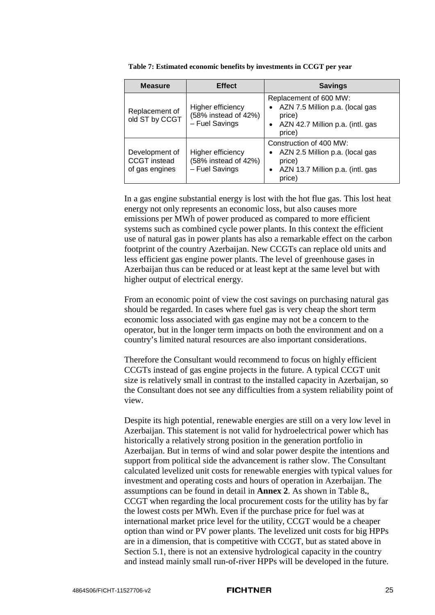| <b>Measure</b>                                          | <b>Effect</b>                                               | <b>Savings</b>                                                                                                                  |
|---------------------------------------------------------|-------------------------------------------------------------|---------------------------------------------------------------------------------------------------------------------------------|
| Replacement of<br>old ST by CCGT                        | Higher efficiency<br>(58% instead of 42%)<br>- Fuel Savings | Replacement of 600 MW:<br>AZN 7.5 Million p.a. (local gas<br>price)<br>AZN 42.7 Million p.a. (intl. gas<br>$\bullet$<br>price)  |
| Development of<br><b>CCGT</b> instead<br>of gas engines | Higher efficiency<br>(58% instead of 42%)<br>- Fuel Savings | Construction of 400 MW:<br>AZN 2.5 Million p.a. (local gas<br>price)<br>AZN 13.7 Million p.a. (intl. gas<br>$\bullet$<br>price) |

<span id="page-29-0"></span>

| Table 7: Estimated economic benefits by investments in CCGT per year |  |  |
|----------------------------------------------------------------------|--|--|
|----------------------------------------------------------------------|--|--|

In a gas engine substantial energy is lost with the hot flue gas. This lost heat energy not only represents an economic loss, but also causes more emissions per MWh of power produced as compared to more efficient systems such as combined cycle power plants. In this context the efficient use of natural gas in power plants has also a remarkable effect on the carbon footprint of the country Azerbaijan. New CCGTs can replace old units and less efficient gas engine power plants. The level of greenhouse gases in Azerbaijan thus can be reduced or at least kept at the same level but with higher output of electrical energy.

From an economic point of view the cost savings on purchasing natural gas should be regarded. In cases where fuel gas is very cheap the short term economic loss associated with gas engine may not be a concern to the operator, but in the longer term impacts on both the environment and on a country's limited natural resources are also important considerations.

Therefore the Consultant would recommend to focus on highly efficient CCGTs instead of gas engine projects in the future. A typical CCGT unit size is relatively small in contrast to the installed capacity in Azerbaijan, so the Consultant does not see any difficulties from a system reliability point of view.

Despite its high potential, renewable energies are still on a very low level in Azerbaijan. This statement is not valid for hydroelectrical power which has historically a relatively strong position in the generation portfolio in Azerbaijan. But in terms of wind and solar power despite the intentions and support from political side the advancement is rather slow. The Consultant calculated levelized unit costs for renewable energies with typical values for investment and operating costs and hours of operation in Azerbaijan. The assumptions can be found in detail in **Annex 2**. As shown in [Table 8](#page-30-0)**.**, CCGT when regarding the local procurement costs for the utility has by far the lowest costs per MWh. Even if the purchase price for fuel was at international market price level for the utility, CCGT would be a cheaper option than wind or PV power plants. The levelized unit costs for big HPPs are in a dimension, that is competitive with CCGT, but as stated above in Section [5.1,](#page-21-0) there is not an extensive hydrological capacity in the country and instead mainly small run-of-river HPPs will be developed in the future.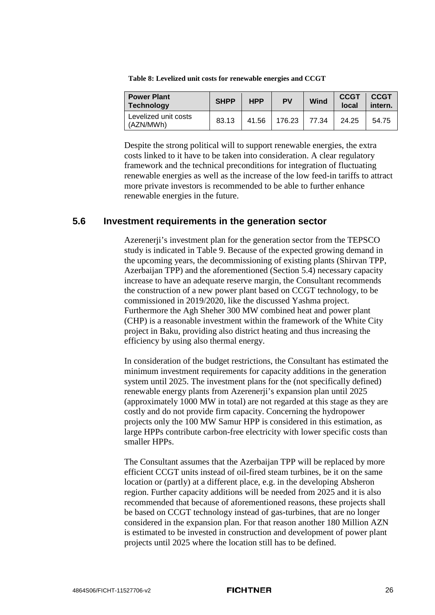| <b>Power Plant</b><br>Technology  | <b>SHPP</b> | <b>HPP</b> | PV     | Wind  | <b>CCGT</b><br>local | <b>CCGT</b><br>intern. |
|-----------------------------------|-------------|------------|--------|-------|----------------------|------------------------|
| Levelized unit costs<br>(AZN/MWh) | 83.13       | 41.56      | 176.23 | 77.34 | 24.25                | 54.75                  |

<span id="page-30-0"></span>**Table 8: Levelized unit costs for renewable energies and CCGT**

Despite the strong political will to support renewable energies, the extra costs linked to it have to be taken into consideration. A clear regulatory framework and the technical preconditions for integration of fluctuating renewable energies as well as the increase of the low feed-in tariffs to attract more private investors is recommended to be able to further enhance renewable energies in the future.

### **5.6 Investment requirements in the generation sector**

Azerenerji's investment plan for the generation sector from the TEPSCO study is indicated in [Table 9.](#page-31-0) Because of the expected growing demand in the upcoming years, the decommissioning of existing plants (Shirvan TPP, Azerbaijan TPP) and the aforementioned (Section [5.4\)](#page-26-2) necessary capacity increase to have an adequate reserve margin, the Consultant recommends the construction of a new power plant based on CCGT technology, to be commissioned in 2019/2020, like the discussed Yashma project. Furthermore the Agh Sheher 300 MW combined heat and power plant (CHP) is a reasonable investment within the framework of the White City project in Baku, providing also district heating and thus increasing the efficiency by using also thermal energy.

In consideration of the budget restrictions, the Consultant has estimated the minimum investment requirements for capacity additions in the generation system until 2025. The investment plans for the (not specifically defined) renewable energy plants from Azerenerji's expansion plan until 2025 (approximately 1000 MW in total) are not regarded at this stage as they are costly and do not provide firm capacity. Concerning the hydropower projects only the 100 MW Samur HPP is considered in this estimation, as large HPPs contribute carbon-free electricity with lower specific costs than smaller HPPs.

The Consultant assumes that the Azerbaijan TPP will be replaced by more efficient CCGT units instead of oil-fired steam turbines, be it on the same location or (partly) at a different place, e.g. in the developing Absheron region. Further capacity additions will be needed from 2025 and it is also recommended that because of aforementioned reasons, these projects shall be based on CCGT technology instead of gas-turbines, that are no longer considered in the expansion plan. For that reason another 180 Million AZN is estimated to be invested in construction and development of power plant projects until 2025 where the location still has to be defined.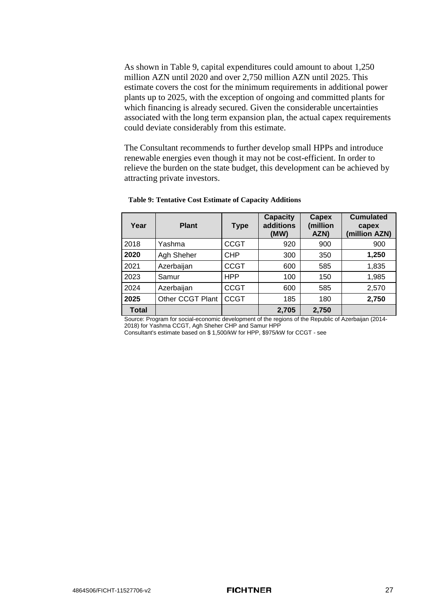As shown in [Table 9,](#page-31-0) capital expenditures could amount to about 1,250 million AZN until 2020 and over 2,750 million AZN until 2025. This estimate covers the cost for the minimum requirements in additional power plants up to 2025, with the exception of ongoing and committed plants for which financing is already secured. Given the considerable uncertainties associated with the long term expansion plan, the actual capex requirements could deviate considerably from this estimate.

The Consultant recommends to further develop small HPPs and introduce renewable energies even though it may not be cost-efficient. In order to relieve the burden on the state budget, this development can be achieved by attracting private investors.

| Year         | <b>Plant</b>     | <b>Type</b> | <b>Capacity</b><br>additions<br>(MW) | Capex<br>(million<br>AZN) | <b>Cumulated</b><br>capex<br>(million AZN) |
|--------------|------------------|-------------|--------------------------------------|---------------------------|--------------------------------------------|
| 2018         | Yashma           | <b>CCGT</b> | 920                                  | 900                       | 900                                        |
| 2020         | Agh Sheher       | <b>CHP</b>  | 300                                  | 350                       | 1,250                                      |
| 2021         | Azerbaijan       | <b>CCGT</b> | 600                                  | 585                       | 1,835                                      |
| 2023         | Samur            | <b>HPP</b>  | 100                                  | 150                       | 1,985                                      |
| 2024         | Azerbaijan       | <b>CCGT</b> | 600                                  | 585                       | 2,570                                      |
| 2025         | Other CCGT Plant | <b>CCGT</b> | 185                                  | 180                       | 2,750                                      |
| <b>Total</b> |                  |             | 2,705                                | 2,750                     |                                            |

#### <span id="page-31-0"></span>**Table 9: Tentative Cost Estimate of Capacity Additions**

Source: Program for social-economic development of the regions of the Republic of Azerbaijan (2014- 2018) for Yashma CCGT, Agh Sheher CHP and Samur HPP

Consultant's estimate based on \$ 1,500/kW for HPP, \$975/kW for CCGT - see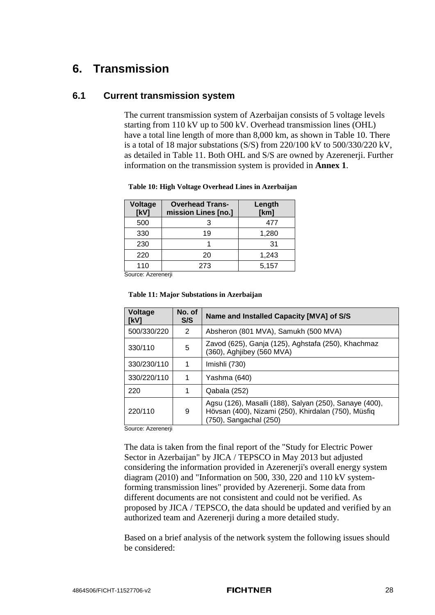### **6. Transmission**

### **6.1 Current transmission system**

The current transmission system of Azerbaijan consists of 5 voltage levels starting from 110 kV up to 500 kV. Overhead transmission lines (OHL) have a total line length of more than 8,000 km, as shown in [Table 10.](#page-32-0) There is a total of 18 major substations (S/S) from 220/100 kV to 500/330/220 kV, as detailed in [Table 11.](#page-32-1) Both OHL and S/S are owned by Azerenerji. Further information on the transmission system is provided in **Annex [1](#page-5-0)**.

| <b>Voltage</b><br>[kV] | <b>Overhead Trans-</b><br>mission Lines [no.] | Length<br>[km] |
|------------------------|-----------------------------------------------|----------------|
| 500                    |                                               | 477            |
| 330                    | 19                                            | 1,280          |
| 230                    |                                               | 31             |
| 220                    | 20                                            | 1,243          |
| 110                    | 273                                           | 5,157          |

#### <span id="page-32-0"></span>**Table 10: High Voltage Overhead Lines in Azerbaijan**

Source: Azerenerji

#### <span id="page-32-1"></span>**Table 11: Major Substations in Azerbaijan**

| Voltage<br>[kV] | No. of<br>S/S | Name and Installed Capacity [MVA] of S/S                                                                                                |
|-----------------|---------------|-----------------------------------------------------------------------------------------------------------------------------------------|
| 500/330/220     | 2             | Absheron (801 MVA), Samukh (500 MVA)                                                                                                    |
| 330/110         | 5             | Zavod (625), Ganja (125), Aghstafa (250), Khachmaz<br>(360), Aghjibey (560 MVA)                                                         |
| 330/230/110     |               | Imishli (730)                                                                                                                           |
| 330/220/110     | 1             | Yashma (640)                                                                                                                            |
| 220             |               | Qabala (252)                                                                                                                            |
| 220/110         | 9             | Agsu (126), Masalli (188), Salyan (250), Sanaye (400),<br>Hövsan (400), Nizami (250), Khirdalan (750), Müsfiq<br>(750), Sangachal (250) |

Source: Azerenerii

The data is taken from the final report of the "Study for Electric Power Sector in Azerbaijan" by JICA / TEPSCO in May 2013 but adjusted considering the information provided in Azerenerji's overall energy system diagram (2010) and "Information on 500, 330, 220 and 110 kV systemforming transmission lines" provided by Azerenerji. Some data from different documents are not consistent and could not be verified. As proposed by JICA / TEPSCO, the data should be updated and verified by an authorized team and Azerenerji during a more detailed study.

Based on a brief analysis of the network system the following issues should be considered: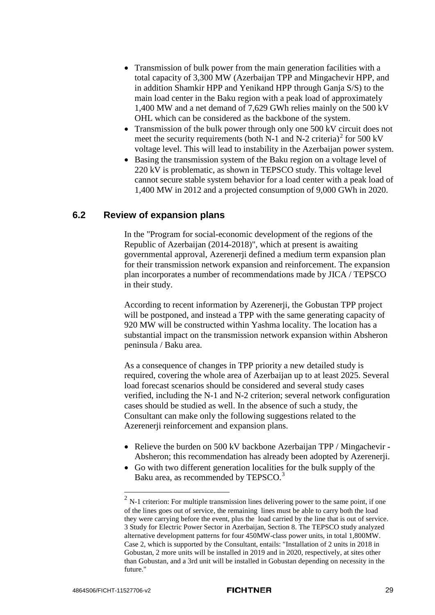- Transmission of bulk power from the main generation facilities with a total capacity of 3,300 MW (Azerbaijan TPP and Mingachevir HPP, and in addition Shamkir HPP and Yenikand HPP through Ganja S/S) to the main load center in the Baku region with a peak load of approximately 1,400 MW and a net demand of 7,629 GWh relies mainly on the 500 kV OHL which can be considered as the backbone of the system.
- Transmission of the bulk power through only one 500 kV circuit does not meet the security requirements (both N-1 and N-[2](#page-33-0) criteria)<sup>2</sup> for 500 kV voltage level. This will lead to instability in the Azerbaijan power system.
- Basing the transmission system of the Baku region on a voltage level of 220 kV is problematic, as shown in TEPSCO study. This voltage level cannot secure stable system behavior for a load center with a peak load of 1,400 MW in 2012 and a projected consumption of 9,000 GWh in 2020.

### **6.2 Review of expansion plans**

In the "Program for social-economic development of the regions of the Republic of Azerbaijan (2014-2018)", which at present is awaiting governmental approval, Azerenerji defined a medium term expansion plan for their transmission network expansion and reinforcement. The expansion plan incorporates a number of recommendations made by JICA / TEPSCO in their study.

According to recent information by Azerenerji, the Gobustan TPP project will be postponed, and instead a TPP with the same generating capacity of 920 MW will be constructed within Yashma locality. The location has a substantial impact on the transmission network expansion within Absheron peninsula / Baku area.

As a consequence of changes in TPP priority a new detailed study is required, covering the whole area of Azerbaijan up to at least 2025. Several load forecast scenarios should be considered and several study cases verified, including the N-1 and N-2 criterion; several network configuration cases should be studied as well. In the absence of such a study, the Consultant can make only the following suggestions related to the Azerenerji reinforcement and expansion plans.

- Relieve the burden on 500 kV backbone Azerbaijan TPP / Mingachevir -Absheron; this recommendation has already been adopted by Azerenerji.
- Go with two different generation localities for the bulk supply of the Baku area, as recommended by TEPSCO.<sup>[3](#page-33-1)</sup>

<span id="page-33-1"></span><span id="page-33-0"></span> $2$  N-1 criterion: For multiple transmission lines delivering power to the same point, if one of the lines goes out of service, the remaining lines must be able to carry both the load they were carrying before the event, plus the load carried by the line that is out of service. 3 Study for Electric Power Sector in Azerbaijan, Section 8. The TEPSCO study analyzed alternative development patterns for four 450MW-class power units, in total 1,800MW. Case 2, which is supported by the Consultant, entails: "Installation of 2 units in 2018 in Gobustan, 2 more units will be installed in 2019 and in 2020, respectively, at sites other than Gobustan, and a 3rd unit will be installed in Gobustan depending on necessity in the future."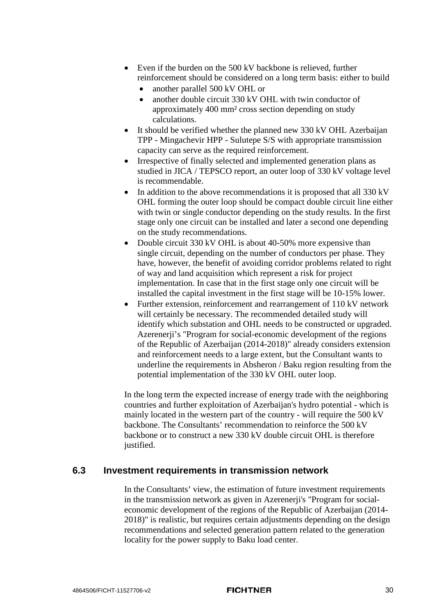- Even if the burden on the 500 kV backbone is relieved, further reinforcement should be considered on a long term basis: either to build
	- another parallel 500 kV OHL or
	- another double circuit 330 kV OHL with twin conductor of approximately 400 mm² cross section depending on study calculations.
- It should be verified whether the planned new 330 kV OHL Azerbaijan TPP - Mingachevir HPP - Sulutepe S/S with appropriate transmission capacity can serve as the required reinforcement.
- Irrespective of finally selected and implemented generation plans as studied in JICA / TEPSCO report, an outer loop of 330 kV voltage level is recommendable.
- In addition to the above recommendations it is proposed that all 330 kV OHL forming the outer loop should be compact double circuit line either with twin or single conductor depending on the study results. In the first stage only one circuit can be installed and later a second one depending on the study recommendations.
- Double circuit 330 kV OHL is about 40-50% more expensive than single circuit, depending on the number of conductors per phase. They have, however, the benefit of avoiding corridor problems related to right of way and land acquisition which represent a risk for project implementation. In case that in the first stage only one circuit will be installed the capital investment in the first stage will be 10-15% lower.
- Further extension, reinforcement and rearrangement of 110 kV network will certainly be necessary. The recommended detailed study will identify which substation and OHL needs to be constructed or upgraded. Azerenerji's "Program for social-economic development of the regions of the Republic of Azerbaijan (2014-2018)" already considers extension and reinforcement needs to a large extent, but the Consultant wants to underline the requirements in Absheron / Baku region resulting from the potential implementation of the 330 kV OHL outer loop.

In the long term the expected increase of energy trade with the neighboring countries and further exploitation of Azerbaijan's hydro potential - which is mainly located in the western part of the country - will require the 500 kV backbone. The Consultants' recommendation to reinforce the 500 kV backbone or to construct a new 330 kV double circuit OHL is therefore justified.

### **6.3 Investment requirements in transmission network**

In the Consultants' view, the estimation of future investment requirements in the transmission network as given in Azerenerji's "Program for socialeconomic development of the regions of the Republic of Azerbaijan (2014- 2018)" is realistic, but requires certain adjustments depending on the design recommendations and selected generation pattern related to the generation locality for the power supply to Baku load center.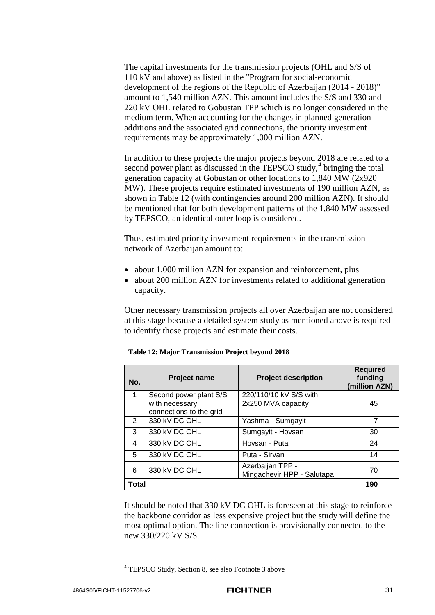The capital investments for the transmission projects (OHL and S/S of 110 kV and above) as listed in the "Program for social-economic development of the regions of the Republic of Azerbaijan (2014 - 2018)" amount to 1,540 million AZN. This amount includes the S/S and 330 and 220 kV OHL related to Gobustan TPP which is no longer considered in the medium term. When accounting for the changes in planned generation additions and the associated grid connections, the priority investment requirements may be approximately 1,000 million AZN.

In addition to these projects the major projects beyond 2018 are related to a second power plant as discussed in the TEPSCO study, $4$  bringing the total generation capacity at Gobustan or other locations to 1,840 MW (2x920 MW). These projects require estimated investments of 190 million AZN, as shown in [Table 12](#page-35-0) (with contingencies around 200 million AZN). It should be mentioned that for both development patterns of the 1,840 MW assessed by TEPSCO, an identical outer loop is considered.

Thus, estimated priority investment requirements in the transmission network of Azerbaijan amount to:

- about 1,000 million AZN for expansion and reinforcement, plus
- about 200 million AZN for investments related to additional generation capacity.

Other necessary transmission projects all over Azerbaijan are not considered at this stage because a detailed system study as mentioned above is required to identify those projects and estimate their costs.

| No.            | <b>Project name</b>     | <b>Project description</b>                     | <b>Required</b><br>funding<br>(million AZN) |
|----------------|-------------------------|------------------------------------------------|---------------------------------------------|
| 1              | Second power plant S/S  | 220/110/10 kV S/S with                         |                                             |
|                | with necessary          | 2x250 MVA capacity                             | 45                                          |
|                | connections to the grid |                                                |                                             |
| $\overline{2}$ | 330 kV DC OHL           | Yashma - Sumgayit                              | 7                                           |
| 3              | 330 kV DC OHL           | Sumgayit - Hovsan                              | 30                                          |
| 4              | 330 kV DC OHL           | Hovsan - Puta                                  | 24                                          |
| 5              | 330 kV DC OHL           | Puta - Sirvan                                  | 14                                          |
| 6              | 330 kV DC OHL           | Azerbaijan TPP -<br>Mingachevir HPP - Salutapa | 70                                          |
|                |                         |                                                |                                             |
| Total          |                         |                                                | 190                                         |

<span id="page-35-0"></span>**Table 12: Major Transmission Project beyond 2018**

It should be noted that 330 kV DC OHL is foreseen at this stage to reinforce the backbone corridor as less expensive project but the study will define the most optimal option. The line connection is provisionally connected to the new 330/220 kV S/S.

<span id="page-35-1"></span> <sup>4</sup> TEPSCO Study, Section 8, see also Footnote 3 above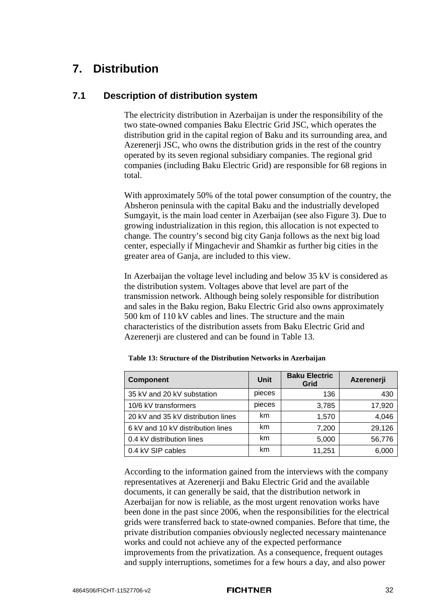### <span id="page-36-0"></span>**7. Distribution**

### <span id="page-36-2"></span>**7.1 Description of distribution system**

The electricity distribution in Azerbaijan is under the responsibility of the two state-owned companies Baku Electric Grid JSC, which operates the distribution grid in the capital region of Baku and its surrounding area, and Azerenerji JSC, who owns the distribution grids in the rest of the country operated by its seven regional subsidiary companies. The regional grid companies (including Baku Electric Grid) are responsible for 68 regions in total.

With approximately 50% of the total power consumption of the country, the Absheron peninsula with the capital Baku and the industrially developed Sumgayit, is the main load center in Azerbaijan (see also [Figure 3\)](#page-12-1). Due to growing industrialization in this region, this allocation is not expected to change. The country's second big city Ganja follows as the next big load center, especially if Mingachevir and Shamkir as further big cities in the greater area of Ganja, are included to this view.

In Azerbaijan the voltage level including and below 35 kV is considered as the distribution system. Voltages above that level are part of the transmission network. Although being solely responsible for distribution and sales in the Baku region, Baku Electric Grid also owns approximately 500 km of 110 kV cables and lines. The structure and the main characteristics of the distribution assets from Baku Electric Grid and Azerenerji are clustered and can be found in [Table 13.](#page-36-1)

| <b>Component</b>                   | Unit   | <b>Baku Electric</b><br>Grid | Azerenerji |
|------------------------------------|--------|------------------------------|------------|
| 35 kV and 20 kV substation         | pieces | 136                          | 430        |
| 10/6 kV transformers               | pieces | 3,785                        | 17,920     |
| 20 kV and 35 kV distribution lines | km     | 1,570                        | 4,046      |
| 6 kV and 10 kV distribution lines  | km     | 7,200                        | 29,126     |
| 0.4 kV distribution lines          | km     | 5,000                        | 56,776     |
| 0.4 kV SIP cables                  | km     | 11,251                       | 6,000      |

<span id="page-36-1"></span>**Table 13: Structure of the Distribution Networks in Azerbaijan**

According to the information gained from the interviews with the company representatives at Azerenerji and Baku Electric Grid and the available documents, it can generally be said, that the distribution network in Azerbaijan for now is reliable, as the most urgent renovation works have been done in the past since 2006, when the responsibilities for the electrical grids were transferred back to state-owned companies. Before that time, the private distribution companies obviously neglected necessary maintenance works and could not achieve any of the expected performance improvements from the privatization. As a consequence, frequent outages and supply interruptions, sometimes for a few hours a day, and also power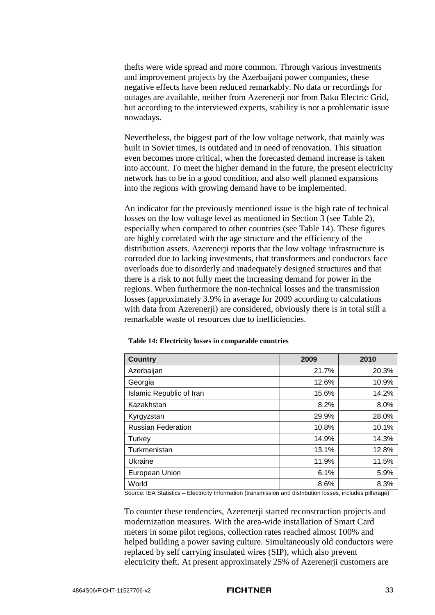thefts were wide spread and more common. Through various investments and improvement projects by the Azerbaijani power companies, these negative effects have been reduced remarkably. No data or recordings for outages are available, neither from Azerenerji nor from Baku Electric Grid, but according to the interviewed experts, stability is not a problematic issue nowadays.

Nevertheless, the biggest part of the low voltage network, that mainly was built in Soviet times, is outdated and in need of renovation. This situation even becomes more critical, when the forecasted demand increase is taken into account. To meet the higher demand in the future, the present electricity network has to be in a good condition, and also well planned expansions into the regions with growing demand have to be implemented.

An indicator for the previously mentioned issue is the high rate of technical losses on the low voltage level as mentioned in Section [3](#page-10-1) (see [Table 2\)](#page-11-0), especially when compared to other countries (see [Table 14\)](#page-37-0). These figures are highly correlated with the age structure and the efficiency of the distribution assets. Azerenerji reports that the low voltage infrastructure is corroded due to lacking investments, that transformers and conductors face overloads due to disorderly and inadequately designed structures and that there is a risk to not fully meet the increasing demand for power in the regions. When furthermore the non-technical losses and the transmission losses (approximately 3.9% in average for 2009 according to calculations with data from Azerenerji) are considered, obviously there is in total still a remarkable waste of resources due to inefficiencies.

| <b>Country</b>            | 2009  | 2010  |
|---------------------------|-------|-------|
| Azerbaijan                | 21.7% | 20.3% |
| Georgia                   | 12.6% | 10.9% |
| Islamic Republic of Iran  | 15.6% | 14.2% |
| Kazakhstan                | 8.2%  | 8.0%  |
| Kyrgyzstan                | 29.9% | 28.0% |
| <b>Russian Federation</b> | 10.8% | 10.1% |
| Turkey                    | 14.9% | 14.3% |
| Turkmenistan              | 13.1% | 12.8% |
| Ukraine                   | 11.9% | 11.5% |
| European Union            | 6.1%  | 5.9%  |
| World                     | 8.6%  | 8.3%  |

<span id="page-37-0"></span>

| Table 14: Electricity losses in comparable countries |  |  |  |
|------------------------------------------------------|--|--|--|
|------------------------------------------------------|--|--|--|

Source: IEA Statistics – Electricity Information (transmission and distribution losses, includes pilferage)

To counter these tendencies, Azerenerji started reconstruction projects and modernization measures. With the area-wide installation of Smart Card meters in some pilot regions, collection rates reached almost 100% and helped building a power saving culture. Simultaneously old conductors were replaced by self carrying insulated wires (SIP), which also prevent electricity theft. At present approximately 25% of Azerenerji customers are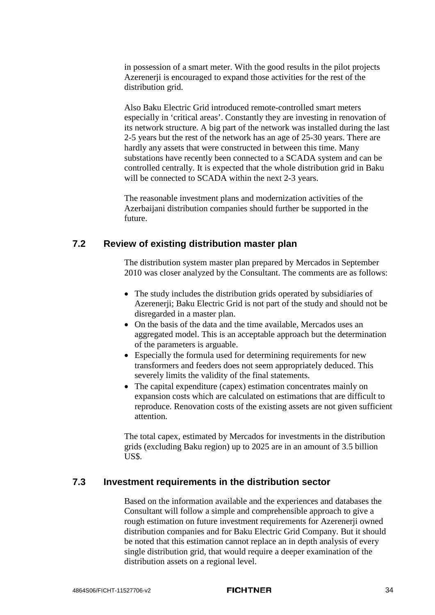in possession of a smart meter. With the good results in the pilot projects Azerenerii is encouraged to expand those activities for the rest of the distribution grid.

Also Baku Electric Grid introduced remote-controlled smart meters especially in 'critical areas'. Constantly they are investing in renovation of its network structure. A big part of the network was installed during the last 2-5 years but the rest of the network has an age of 25-30 years. There are hardly any assets that were constructed in between this time. Many substations have recently been connected to a SCADA system and can be controlled centrally. It is expected that the whole distribution grid in Baku will be connected to SCADA within the next 2-3 years.

The reasonable investment plans and modernization activities of the Azerbaijani distribution companies should further be supported in the future.

### **7.2 Review of existing distribution master plan**

The distribution system master plan prepared by Mercados in September 2010 was closer analyzed by the Consultant. The comments are as follows:

- The study includes the distribution grids operated by subsidiaries of Azerenerji; Baku Electric Grid is not part of the study and should not be disregarded in a master plan.
- On the basis of the data and the time available. Mercados uses an aggregated model. This is an acceptable approach but the determination of the parameters is arguable.
- Especially the formula used for determining requirements for new transformers and feeders does not seem appropriately deduced. This severely limits the validity of the final statements.
- The capital expenditure (capex) estimation concentrates mainly on expansion costs which are calculated on estimations that are difficult to reproduce. Renovation costs of the existing assets are not given sufficient attention.

The total capex, estimated by Mercados for investments in the distribution grids (excluding Baku region) up to 2025 are in an amount of 3.5 billion US\$.

### **7.3 Investment requirements in the distribution sector**

Based on the information available and the experiences and databases the Consultant will follow a simple and comprehensible approach to give a rough estimation on future investment requirements for Azerenerji owned distribution companies and for Baku Electric Grid Company. But it should be noted that this estimation cannot replace an in depth analysis of every single distribution grid, that would require a deeper examination of the distribution assets on a regional level.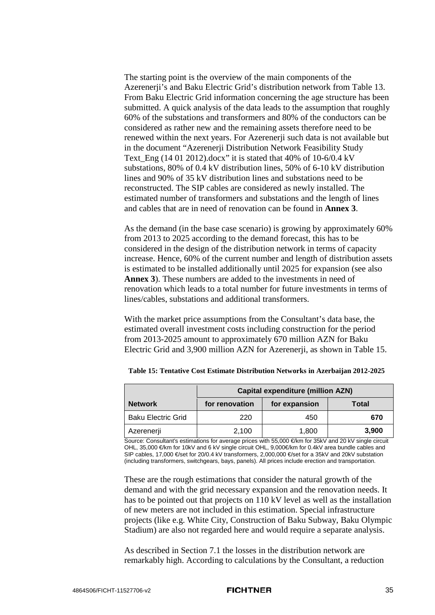The starting point is the overview of the main components of the Azerenerji's and Baku Electric Grid's distribution network from [Table 13.](#page-36-1) From Baku Electric Grid information concerning the age structure has been submitted. A quick analysis of the data leads to the assumption that roughly 60% of the substations and transformers and 80% of the conductors can be considered as rather new and the remaining assets therefore need to be renewed within the next years. For Azerenerji such data is not available but in the document "Azerenerji Distribution Network Feasibility Study Text Eng  $(14 01 2012)$ .docx" it is stated that 40% of 10-6/0.4 kV substations, 80% of 0.4 kV distribution lines, 50% of 6-10 kV distribution lines and 90% of 35 kV distribution lines and substations need to be reconstructed. The SIP cables are considered as newly installed. The estimated number of transformers and substations and the length of lines and cables that are in need of renovation can be found in **Annex 3**.

As the demand (in the base case scenario) is growing by approximately 60% from 2013 to 2025 according to the demand forecast, this has to be considered in the design of the distribution network in terms of capacity increase. Hence, 60% of the current number and length of distribution assets is estimated to be installed additionally until 2025 for expansion (see also **Annex 3**). These numbers are added to the investments in need of renovation which leads to a total number for future investments in terms of lines/cables, substations and additional transformers.

With the market price assumptions from the Consultant's data base, the estimated overall investment costs including construction for the period from 2013-2025 amount to approximately 670 million AZN for Baku Electric Grid and 3,900 million AZN for Azerenerji, as shown in [Table 15.](#page-39-0)

|                           | <b>Capital expenditure (million AZN)</b> |                        |       |  |  |  |  |
|---------------------------|------------------------------------------|------------------------|-------|--|--|--|--|
| <b>Network</b>            | for renovation                           | for expansion<br>Total |       |  |  |  |  |
| <b>Baku Electric Grid</b> | 220                                      | 450                    | 670   |  |  |  |  |
| Azerenerji                | 2,100                                    | 1,800                  | 3,900 |  |  |  |  |

<span id="page-39-0"></span>**Table 15: Tentative Cost Estimate Distribution Networks in Azerbaijan 2012-2025**

Source: Consultant's estimations for average prices with 55,000 €/km for 35kV and 20 kV single circuit OHL, 35,000 €/km for 10kV and 6 kV single circuit OHL, 9,000€/km for 0.4kV area bundle cables and SIP cables, 17,000 €/set for 20/0.4 kV transformers, 2,000,000 €/set for a 35kV and 20kV substation (including transformers, switchgears, bays, panels). All prices include erection and transportation.

These are the rough estimations that consider the natural growth of the demand and with the grid necessary expansion and the renovation needs. It has to be pointed out that projects on 110 kV level as well as the installation of new meters are not included in this estimation. Special infrastructure projects (like e.g. White City, Construction of Baku Subway, Baku Olympic Stadium) are also not regarded here and would require a separate analysis.

As described in Section [7.1](#page-36-2) the losses in the distribution network are remarkably high. According to calculations by the Consultant, a reduction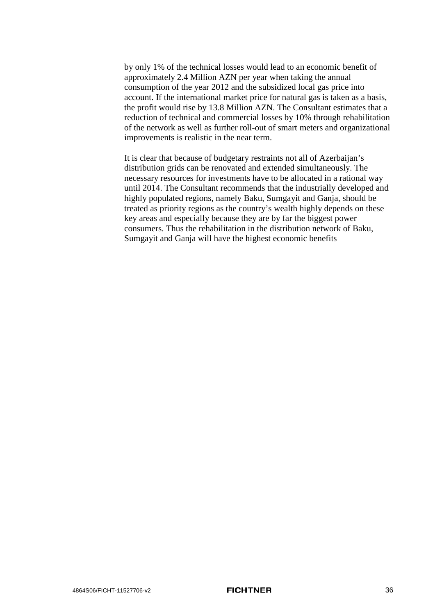by only 1% of the technical losses would lead to an economic benefit of approximately 2.4 Million AZN per year when taking the annual consumption of the year 2012 and the subsidized local gas price into account. If the international market price for natural gas is taken as a basis, the profit would rise by 13.8 Million AZN. The Consultant estimates that a reduction of technical and commercial losses by 10% through rehabilitation of the network as well as further roll-out of smart meters and organizational improvements is realistic in the near term.

It is clear that because of budgetary restraints not all of Azerbaijan's distribution grids can be renovated and extended simultaneously. The necessary resources for investments have to be allocated in a rational way until 2014. The Consultant recommends that the industrially developed and highly populated regions, namely Baku, Sumgayit and Ganja, should be treated as priority regions as the country's wealth highly depends on these key areas and especially because they are by far the biggest power consumers. Thus the rehabilitation in the distribution network of Baku, Sumgayit and Ganja will have the highest economic benefits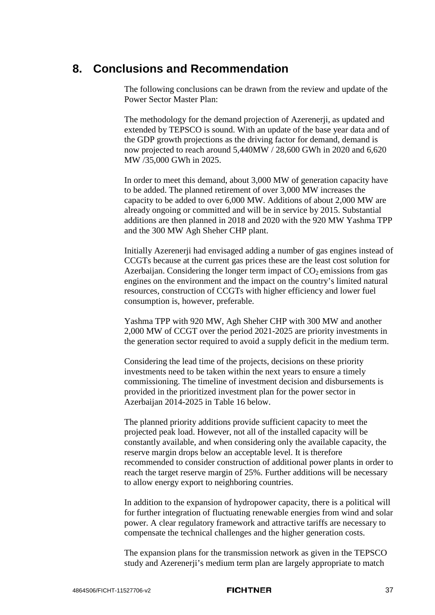### **8. Conclusions and Recommendation**

The following conclusions can be drawn from the review and update of the Power Sector Master Plan:

The methodology for the demand projection of Azerenerji, as updated and extended by TEPSCO is sound. With an update of the base year data and of the GDP growth projections as the driving factor for demand, demand is now projected to reach around 5,440MW / 28,600 GWh in 2020 and 6,620 MW /35,000 GWh in 2025.

In order to meet this demand, about 3,000 MW of generation capacity have to be added. The planned retirement of over 3,000 MW increases the capacity to be added to over 6,000 MW. Additions of about 2,000 MW are already ongoing or committed and will be in service by 2015. Substantial additions are then planned in 2018 and 2020 with the 920 MW Yashma TPP and the 300 MW Agh Sheher CHP plant.

Initially Azerenerji had envisaged adding a number of gas engines instead of CCGTs because at the current gas prices these are the least cost solution for Azerbaijan. Considering the longer term impact of  $CO<sub>2</sub>$  emissions from gas engines on the environment and the impact on the country's limited natural resources, construction of CCGTs with higher efficiency and lower fuel consumption is, however, preferable.

Yashma TPP with 920 MW, Agh Sheher CHP with 300 MW and another 2,000 MW of CCGT over the period 2021-2025 are priority investments in the generation sector required to avoid a supply deficit in the medium term.

Considering the lead time of the projects, decisions on these priority investments need to be taken within the next years to ensure a timely commissioning. The timeline of investment decision and disbursements is provided in the prioritized investment plan for the power sector in Azerbaijan 2014-2025 in [Table 16](#page-44-0) below.

The planned priority additions provide sufficient capacity to meet the projected peak load. However, not all of the installed capacity will be constantly available, and when considering only the available capacity, the reserve margin drops below an acceptable level. It is therefore recommended to consider construction of additional power plants in order to reach the target reserve margin of 25%. Further additions will be necessary to allow energy export to neighboring countries.

In addition to the expansion of hydropower capacity, there is a political will for further integration of fluctuating renewable energies from wind and solar power. A clear regulatory framework and attractive tariffs are necessary to compensate the technical challenges and the higher generation costs.

The expansion plans for the transmission network as given in the TEPSCO study and Azerenerji's medium term plan are largely appropriate to match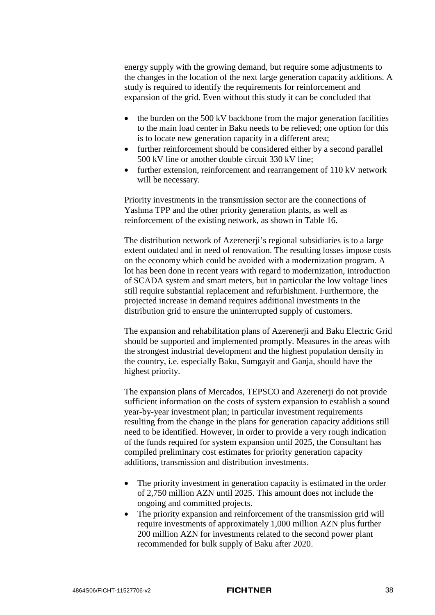energy supply with the growing demand, but require some adjustments to the changes in the location of the next large generation capacity additions. A study is required to identify the requirements for reinforcement and expansion of the grid. Even without this study it can be concluded that

- the burden on the 500 kV backbone from the major generation facilities to the main load center in Baku needs to be relieved; one option for this is to locate new generation capacity in a different area;
- further reinforcement should be considered either by a second parallel 500 kV line or another double circuit 330 kV line;
- further extension, reinforcement and rearrangement of 110 kV network will be necessary.

Priority investments in the transmission sector are the connections of Yashma TPP and the other priority generation plants, as well as reinforcement of the existing network, as shown in [Table 16.](#page-44-0)

The distribution network of Azerenerji's regional subsidiaries is to a large extent outdated and in need of renovation. The resulting losses impose costs on the economy which could be avoided with a modernization program. A lot has been done in recent years with regard to modernization, introduction of SCADA system and smart meters, but in particular the low voltage lines still require substantial replacement and refurbishment. Furthermore, the projected increase in demand requires additional investments in the distribution grid to ensure the uninterrupted supply of customers.

The expansion and rehabilitation plans of Azerenerji and Baku Electric Grid should be supported and implemented promptly. Measures in the areas with the strongest industrial development and the highest population density in the country, i.e. especially Baku, Sumgayit and Ganja, should have the highest priority.

The expansion plans of Mercados, TEPSCO and Azerenerji do not provide sufficient information on the costs of system expansion to establish a sound year-by-year investment plan; in particular investment requirements resulting from the change in the plans for generation capacity additions still need to be identified. However, in order to provide a very rough indication of the funds required for system expansion until 2025, the Consultant has compiled preliminary cost estimates for priority generation capacity additions, transmission and distribution investments.

- The priority investment in generation capacity is estimated in the order of 2,750 million AZN until 2025. This amount does not include the ongoing and committed projects.
- The priority expansion and reinforcement of the transmission grid will require investments of approximately 1,000 million AZN plus further 200 million AZN for investments related to the second power plant recommended for bulk supply of Baku after 2020.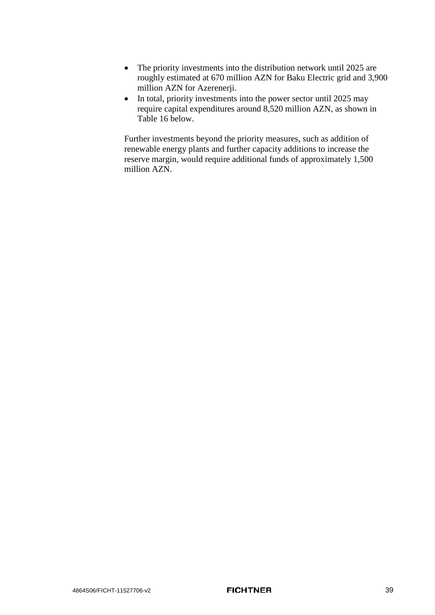- The priority investments into the distribution network until 2025 are roughly estimated at 670 million AZN for Baku Electric grid and 3,900 million AZN for Azerenerji.
- In total, priority investments into the power sector until 2025 may require capital expenditures around 8,520 million AZN, as shown in [Table 16](#page-44-0) below.

Further investments beyond the priority measures, such as addition of renewable energy plants and further capacity additions to increase the reserve margin, would require additional funds of approximately 1,500 million AZN.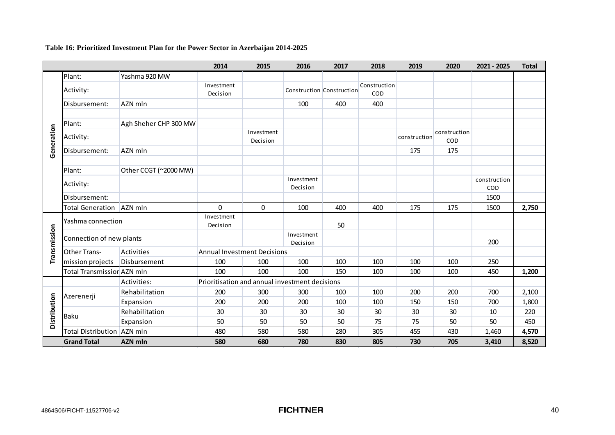**Table 16: Prioritized Investment Plan for the Power Sector in Azerbaijan 2014-2025**

<span id="page-44-0"></span>

|              |                            |                       | 2014                                           | 2015                   | 2016                      | 2017 | 2018                | 2019         | 2020                | 2021 - 2025         | <b>Total</b> |
|--------------|----------------------------|-----------------------|------------------------------------------------|------------------------|---------------------------|------|---------------------|--------------|---------------------|---------------------|--------------|
|              | Plant:                     | Yashma 920 MW         |                                                |                        |                           |      |                     |              |                     |                     |              |
|              | Activity:                  |                       | Investment<br>Decision                         |                        | Construction Construction |      | Construction<br>COD |              |                     |                     |              |
|              | Disbursement:              | AZN mln               |                                                |                        | 100                       | 400  | 400                 |              |                     |                     |              |
|              | Plant:                     | Agh Sheher CHP 300 MW |                                                |                        |                           |      |                     |              |                     |                     |              |
| Generation   | Activity:                  |                       |                                                | Investment<br>Decision |                           |      |                     | construction | construction<br>COD |                     |              |
|              | Disbursement:              | AZN mln               |                                                |                        |                           |      |                     | 175          | 175                 |                     |              |
|              | Plant:                     | Other CCGT (~2000 MW) |                                                |                        |                           |      |                     |              |                     |                     |              |
|              | Activity:                  |                       |                                                |                        | Investment<br>Decision    |      |                     |              |                     | construction<br>COD |              |
|              | Disbursement:              |                       |                                                |                        |                           |      |                     |              |                     | 1500                |              |
|              | <b>Total Generation</b>    | AZN mln               | $\Omega$                                       | $\mathbf 0$            | 100                       | 400  | 400                 | 175          | 175                 | 1500                | 2,750        |
| Transmission | Yashma connection          |                       | Investment<br>Decision                         |                        |                           | 50   |                     |              |                     |                     |              |
|              | Connection of new plants   |                       |                                                |                        | Investment<br>Decision    |      |                     |              |                     | 200                 |              |
|              | Other Trans-               | Activities            | <b>Annual Investment Decisions</b>             |                        |                           |      |                     |              |                     |                     |              |
|              | mission projects           | Disbursement          | 100                                            | 100                    | 100                       | 100  | 100                 | 100          | 100                 | 250                 |              |
|              | Total Transmission AZN mln |                       | 100                                            | 100                    | 100                       | 150  | 100                 | 100          | 100                 | 450                 | 1,200        |
|              |                            | Activities:           | Prioritisation and annual investment decisions |                        |                           |      |                     |              |                     |                     |              |
|              | Azerenerji                 | Rehabilitation        | 200                                            | 300                    | 300                       | 100  | 100                 | 200          | 200                 | 700                 | 2,100        |
|              |                            | Expansion             | 200                                            | 200                    | 200                       | 100  | 100                 | 150          | 150                 | 700                 | 1,800        |
| Distribution | Baku                       | Rehabilitation        | 30                                             | 30                     | 30                        | 30   | 30                  | 30           | 30                  | 10                  | 220          |
|              |                            | Expansion             | 50                                             | 50                     | 50                        | 50   | 75                  | 75           | 50                  | 50                  | 450          |
|              | Total Distribution AZN mln |                       | 480                                            | 580                    | 580                       | 280  | 305                 | 455          | 430                 | 1,460               | 4,570        |
|              | <b>Grand Total</b>         | AZN mln               | 580                                            | 680                    | 780                       | 830  | 805                 | 730          | 705                 | 3,410               | 8,520        |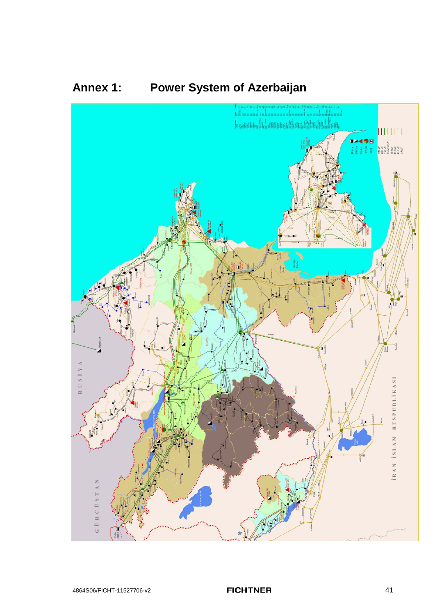

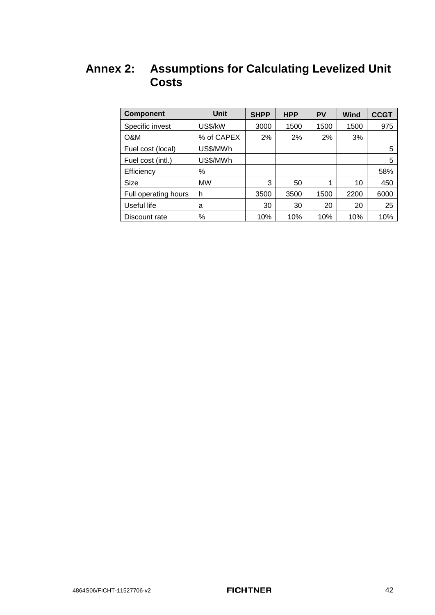## **Annex 2: Assumptions for Calculating Levelized Unit Costs**

| <b>Component</b>     | Unit       | <b>SHPP</b> | <b>HPP</b> | <b>PV</b> | Wind | <b>CCGT</b> |
|----------------------|------------|-------------|------------|-----------|------|-------------|
| Specific invest      | US\$/kW    | 3000        | 1500       | 1500      | 1500 | 975         |
| O&M                  | % of CAPEX | 2%          | 2%         | 2%        | 3%   |             |
| Fuel cost (local)    | US\$/MWh   |             |            |           |      | 5           |
| Fuel cost (intl.)    | US\$/MWh   |             |            |           |      | 5           |
| Efficiency           | ℅          |             |            |           |      | 58%         |
| Size                 | <b>MW</b>  | 3           | 50         | 1         | 10   | 450         |
| Full operating hours | h          | 3500        | 3500       | 1500      | 2200 | 6000        |
| Useful life          | a          | 30          | 30         | 20        | 20   | 25          |
| Discount rate        | $\%$       | 10%         | 10%        | 10%       | 10%  | 10%         |